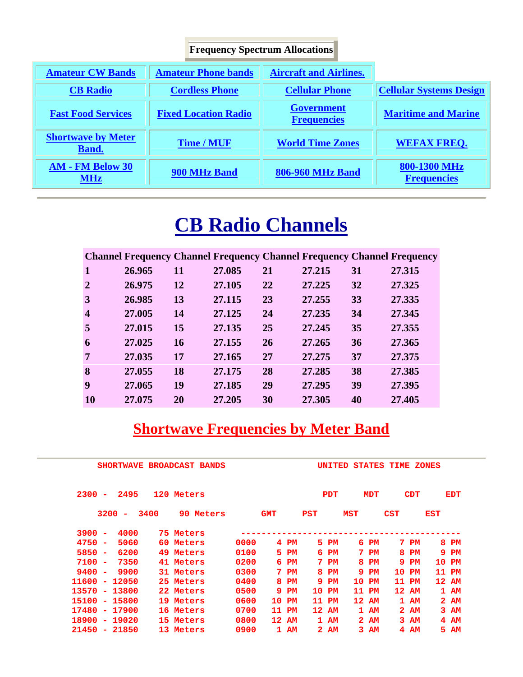|                                           | <b>Frequency Spectrum Allocations</b> |                                         |                                    |
|-------------------------------------------|---------------------------------------|-----------------------------------------|------------------------------------|
| <b>Amateur CW Bands</b>                   | <b>Amateur Phone bands</b>            | <b>Aircraft and Airlines.</b>           |                                    |
| <b>CB</b> Radio                           | <b>Cordless Phone</b>                 | <b>Cellular Phone</b>                   | <b>Cellular Systems Design</b>     |
| <b>Fast Food Services</b>                 | <b>Fixed Location Radio</b>           | <b>Government</b><br><b>Frequencies</b> | <b>Maritime and Marine</b>         |
| <b>Shortwave by Meter</b><br><b>Band.</b> | <b>Time / MUF</b>                     | <b>World Time Zones</b>                 | <b>WEFAX FREQ.</b>                 |
| <b>AM - FM Below 30</b><br><b>MHz</b>     | 900 MHz Band                          | <b>806-960 MHz Band</b>                 | 800-1300 MHz<br><b>Frequencies</b> |

# **CB Radio Channels**

|                         |        |    |        |    |        |    | <b>Channel Frequency Channel Frequency Channel Frequency Channel Frequency</b> |
|-------------------------|--------|----|--------|----|--------|----|--------------------------------------------------------------------------------|
| $\mathbf{1}$            | 26.965 | 11 | 27.085 | 21 | 27.215 | 31 | 27.315                                                                         |
| $\overline{2}$          | 26.975 | 12 | 27.105 | 22 | 27.225 | 32 | 27.325                                                                         |
| 3                       | 26.985 | 13 | 27.115 | 23 | 27.255 | 33 | 27.335                                                                         |
| $\overline{\mathbf{4}}$ | 27.005 | 14 | 27.125 | 24 | 27.235 | 34 | 27.345                                                                         |
| 5                       | 27.015 | 15 | 27.135 | 25 | 27.245 | 35 | 27.355                                                                         |
| 6                       | 27.025 | 16 | 27.155 | 26 | 27.265 | 36 | 27.365                                                                         |
| 7                       | 27.035 | 17 | 27.165 | 27 | 27.275 | 37 | 27.375                                                                         |
| 8                       | 27.055 | 18 | 27.175 | 28 | 27.285 | 38 | 27.385                                                                         |
| 9                       | 27.065 | 19 | 27.185 | 29 | 27.295 | 39 | 27.395                                                                         |
| <b>10</b>               | 27,075 | 20 | 27.205 | 30 | 27.305 | 40 | 27.405                                                                         |

# **<u>Shortwave Frequencies by Meter Band</u>**

|          |        |        | <b>SHORTWAVE</b>         |      | <b>BROADCAST BANDS</b> |      |            |             |                 | <b>UNITED</b> |     | <b>STATES</b>   | TIME       |            | <b>ZONES</b> |            |
|----------|--------|--------|--------------------------|------|------------------------|------|------------|-------------|-----------------|---------------|-----|-----------------|------------|------------|--------------|------------|
| $2300 -$ |        |        | 2495                     |      | 120 Meters             |      |            |             |                 | <b>PDT</b>    |     | <b>MDT</b>      |            | <b>CDT</b> |              | <b>EDT</b> |
|          |        | 3200   | $\overline{\phantom{a}}$ | 3400 | 90 Meters              |      | <b>GMT</b> |             | <b>PST</b>      |               | MST |                 | <b>CST</b> |            | EST          |            |
| $3900 -$ |        |        | 4000                     |      | 75 Meters              |      |            |             |                 |               |     |                 |            |            |              |            |
| $4750 -$ |        |        | 5060                     |      | 60 Meters              | 0000 | 4          | PM          | 5.              | PM            |     | 6 <sub>PM</sub> |            | $7$ PM     |              | 8 PM       |
| $5850 -$ |        |        | 6200                     |      | 49 Meters              | 0100 |            | 5 PM        | 6               | PM            |     | 7 P M           | 8          | PM         |              | 9 PM       |
| $7100 -$ |        |        | 7350                     |      | 41 Meters              | 0200 | 6.         | $_{\rm PM}$ | 7               | PM            | 8   | $_{\rm PM}$     | 9          | PM         |              | 10 PM      |
| $9400 -$ |        |        | 9900                     |      | 31 Meters              | 0300 |            | $7$ PM      | 8               | PM            | 9.  | PM              | 10         | PM         |              | 11 PM      |
| 11600    |        | $\sim$ | 12050                    |      | 25 Meters              | 0400 | 8          | $_{\rm PM}$ | 9               | PM            | 10  | PM              | 11         | PM         |              | 12 AM      |
| 13570    | $\sim$ |        | 13800                    |      | 22 Meters              | 0500 | 9.         | PM          | 10              | PM            | 11  | PM              |            | 12 AM      |              | 1 AM       |
| 15100    | $\sim$ |        | 15800                    |      | 19 Meters              | 0600 | 10         | PM          | 11              | PM            |     | 12 AM           |            | 1 AM       |              | 2AM        |
| 17480    | $\sim$ |        | 17900                    |      | 16 Meters              | 0700 | 11         | PM          | 12 <sup>1</sup> | AM            |     | $1$ AM          |            | 2 AM       |              | 3 AM       |
| 18900    | $\sim$ |        | 19020                    |      | 15 Meters              | 0800 |            | 12 AM       |                 | 1 AM          |     | 2 AM            |            | 3 AM       |              | $4$ AM     |
| 21450 -  |        |        | 21850                    |      | 13 Meters              | 0900 |            | 1 AM        |                 | 2AM           |     | 3 AM            | 4          | AМ         |              | 5 AM       |
|          |        |        |                          |      |                        |      |            |             |                 |               |     |                 |            |            |              |            |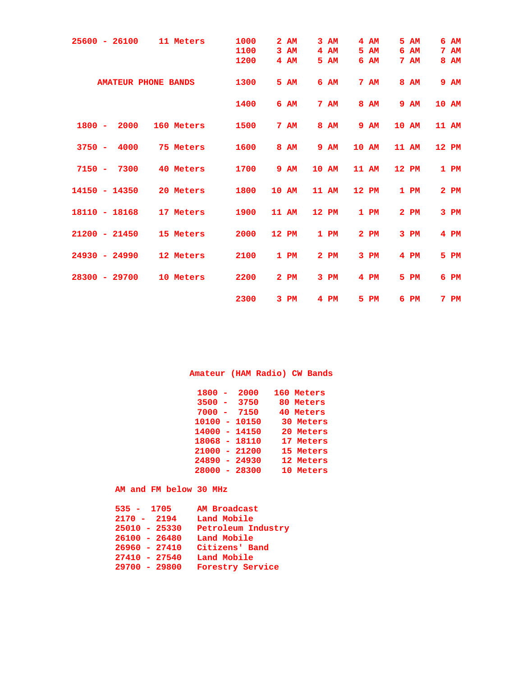| $25600 - 26100$  | 11 Meters                  | 1000 | $\mathbf{2}$ | AM          | 3AM    | $4$ AM      |    | 5 AM        | 6 | AM              |  |
|------------------|----------------------------|------|--------------|-------------|--------|-------------|----|-------------|---|-----------------|--|
|                  |                            | 1100 |              | 3 AM        | $4$ AM | 5 AM        | 6. | AM          |   | 7 <sub>AM</sub> |  |
|                  |                            |      |              |             |        |             |    |             |   |                 |  |
|                  |                            | 1200 |              | $4$ AM      | 5 AM   | 6 AM        |    | 7 AM        |   | 8 AM            |  |
|                  | <b>AMATEUR PHONE BANDS</b> | 1300 |              | 5 AM        | 6 AM   | 7 AM        |    | <b>8 AM</b> |   | <b>9 AM</b>     |  |
|                  |                            | 1400 |              | 6 AM        | 7 AM   | 8 AM        |    | <b>9 AM</b> |   | 10 AM           |  |
| $1800 -$<br>2000 | 160 Meters                 | 1500 |              | 7 AM        | 8 AM   | <b>9 AM</b> |    | 10 AM       |   | 11 AM           |  |
| $3750 -$<br>4000 | 75 Meters                  | 1600 |              | <b>8 AM</b> | 9 AM   | 10 AM       |    | 11 AM       |   | 12 PM           |  |
| $7150 -$<br>7300 | 40 Meters                  | 1700 |              | 9 AM        | 10 AM  | 11 AM       |    | 12 PM       |   | 1 PM            |  |
| $14150 - 14350$  | 20 Meters                  | 1800 | 10 AM        |             | 11 AM  | 12 PM       |    | 1 PM        |   | $2$ PM          |  |
| $18110 - 18168$  | 17 Meters                  | 1900 | 11 AM        |             | 12 PM  | 1 PM        |    | $2$ PM      |   | 3 PM            |  |
| $21200 - 21450$  | 15 Meters                  | 2000 | 12 PM        |             | 1 PM   | $2$ PM      |    | 3 PM        |   | $4$ PM          |  |
| $24930 - 24990$  | 12 Meters                  | 2100 |              | 1 PM        | $2$ PM | 3 PM        |    | $4$ PM      |   | 5 PM            |  |
| $28300 - 29700$  | 10 Meters                  | 2200 |              | $2$ PM      | 3 PM   | $4$ PM      |    | 5 PM        |   | $6$ PM          |  |
|                  |                            | 2300 |              | 3 PM        | $4$ PM | 5 PM        | 6. | PM          |   | $7$ PM          |  |

# **Amateur (HAM Radio) CW Bands**

| 1800  | 2000     | 160 Meters    |
|-------|----------|---------------|
| 3500  | 3750     | 80 Meters     |
| 7000  | 7150     | 40 Meters     |
| 10100 | $-10150$ | 30 Meters     |
| 14000 | $-14150$ | 20 Meters     |
| 18068 | - 18110  | 17 Meters     |
| 21000 | $-21200$ | 15 Meters     |
| 24890 | $-24930$ | 12 Meters     |
| 28000 | $-28300$ | Meters<br>1 ດ |

### **AM and FM below 30 MHz**

| $535 - 1705$    | <b>AM Broadcast</b>     |
|-----------------|-------------------------|
| $2170 - 2194$   | Land Mobile             |
| $25010 - 25330$ | Petroleum Industry      |
| $26100 - 26480$ | Land Mobile             |
| $26960 - 27410$ | Citizens' Band          |
| $27410 - 27540$ | Land Mobile             |
| $29700 - 29800$ | <b>Forestry Service</b> |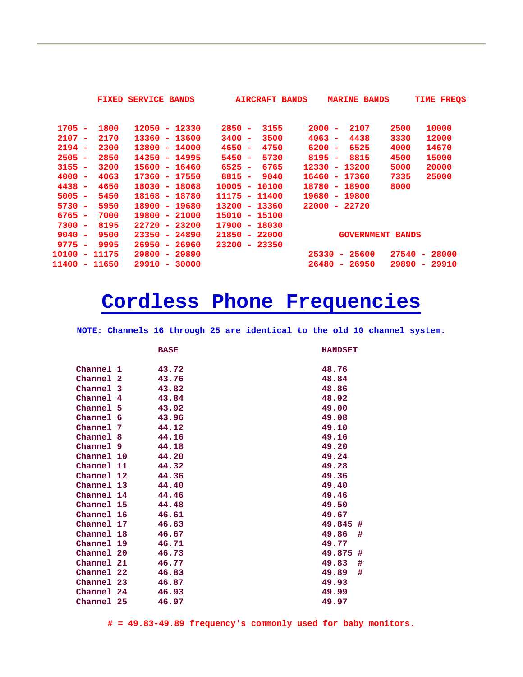| <b>FIXED</b>                             | <b>SERVICE BANDS</b>     | <b>AIRCRAFT BANDS</b>    | <b>MARINE BANDS</b>                              | TIME FREOS                        |
|------------------------------------------|--------------------------|--------------------------|--------------------------------------------------|-----------------------------------|
|                                          |                          |                          |                                                  |                                   |
| $1705 -$<br>1800                         | $12050 - 12330$          | $2850 -$<br>3155         | 2000<br>2107<br>2500<br>$\overline{\phantom{a}}$ | 10000                             |
| $2107 -$<br>2170                         | $13360 - 13600$          | $3400 -$<br>3500         | $4063 -$<br>4438<br>3330                         | 12000                             |
| $2194 -$<br>2300                         | $13800 - 14000$          | $4650 -$<br>4750         | 6525<br>$6200 -$<br>4000                         | 14670                             |
| 2850<br>$2505 -$                         | 14350 - 14995            | $5450 -$<br>5730         | $8195 -$<br>8815<br>4500                         | 15000                             |
| $3155 -$<br>3200                         | 15600 - 16460            | 6765<br>$6525 -$         | 12330<br>13200<br>5000<br>$\sim$                 | 20000                             |
| $4000 -$<br>4063                         | 17360 - 17550            | $8815 -$<br>9040         | 16460<br>17360<br>7335<br>$\sim$                 | 25000                             |
| 4438<br>4650<br>$\overline{\phantom{a}}$ | $18030 - 18068$          | $10005 -$<br>10100       | 18780<br>18900<br>8000<br>$\sim$                 |                                   |
| 5450<br>$5005 -$                         | 18168 - 18780            | 11175 -<br>11400         | 19680<br>19800<br>$\sim$                         |                                   |
| 5950<br>$5730 -$                         | 18900 - 19680            | 13200 - 13360            | 22000<br>$-22720$                                |                                   |
| $6765 -$<br>7000                         | $19800 - 21000$          | 15010 - 15100            |                                                  |                                   |
| $7300 -$<br>8195                         | 22720 - 23200            | 17900 - 18030            |                                                  |                                   |
| 9500<br>$9040 -$                         | $23350 - 24890$          | $21850 - 22000$          | <b>GOVERNMENT BANDS</b>                          |                                   |
| $9775 -$<br>9995                         | $26950 - 26960$          | 23200<br>23350<br>$\sim$ |                                                  |                                   |
| 10100<br>$-11175$                        | $29800 - 29890$          |                          | 25600<br>27540<br>25330<br>$\sim$                | 28000<br>$\sim$                   |
| 11400<br>$-11650$                        | 29910<br>30000<br>$\sim$ |                          | 26480<br>26950<br>29890<br>۰                     | 29910<br>$\overline{\phantom{a}}$ |

# **Cordless Phone Frequencies**

**NOTE: Channels 16 through 25 are identical to the old 10 channel system.**

|            |   | <b>BASE</b> | <b>HANDSET</b> |
|------------|---|-------------|----------------|
| Channel 1  |   | 43.72       | 48.76          |
| Channel 2  |   | 43.76       | 48.84          |
| Channel 3  |   | 43.82       | 48.86          |
| Channel 4  |   | 43.84       | 48.92          |
| Channel 5  |   | 43.92       | 49.00          |
| Channel 6  |   | 43.96       | 49.08          |
| Channel    | 7 | 44.12       | 49.10          |
| Channel    | 8 | 44.16       | 49.16          |
| Channel 9  |   | 44.18       | 49.20          |
| Channel 10 |   | 44.20       | 49.24          |
| Channel 11 |   | 44.32       | 49.28          |
| Channel 12 |   | 44.36       | 49.36          |
| Channel 13 |   | 44.40       | 49.40          |
| Channel 14 |   | 44.46       | 49.46          |
| Channel 15 |   | 44.48       | 49.50          |
| Channel 16 |   | 46.61       | 49.67          |
| Channel 17 |   | 46.63       | 49.845<br>#    |
| Channel 18 |   | 46.67       | #<br>49.86     |
| Channel 19 |   | 46.71       | 49.77          |
| Channel 20 |   | 46.73       | 49.875<br>#    |
| Channel 21 |   | 46.77       | #<br>49.83     |
| Channel 22 |   | 46.83       | #<br>49.89     |
| Channel 23 |   | 46.87       | 49.93          |
| Channel 24 |   | 46.93       | 49.99          |
| Channel 25 |   | 46.97       | 49.97          |

**# = 49.83-49.89 frequency's commonly used for baby monitors.**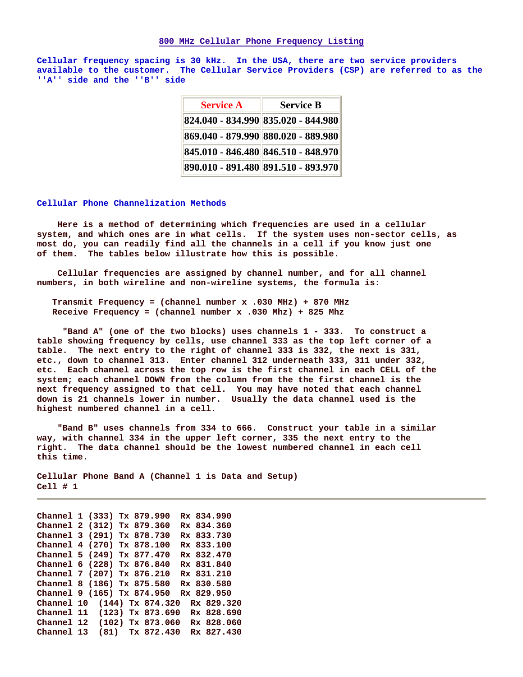#### **800 MHz Cellular Phone Frequency Listing**

**Cellular frequency spacing is 30 kHz. In the USA, there are two service providers available to the customer. The Cellular Service Providers (CSP) are referred to as the ''A'' side and the ''B'' side**

| <b>Service A</b>                    | <b>Service B</b> |
|-------------------------------------|------------------|
| 824.040 - 834.990 835.020 - 844.980 |                  |
| 869.040 - 879.990 880.020 - 889.980 |                  |
| 845.010 - 846.480 846.510 - 848.970 |                  |
| 890.010 - 891.480 891.510 - 893.970 |                  |

#### **Cellular Phone Channelization Methods**

 **Here is a method of determining which frequencies are used in a cellular system, and which ones are in what cells. If the system uses non-sector cells, as most do, you can readily find all the channels in a cell if you know just one of them. The tables below illustrate how this is possible.** 

 **Cellular frequencies are assigned by channel number, and for all channel numbers, in both wireline and non-wireline systems, the formula is:** 

 **Transmit Frequency = (channel number x .030 MHz) + 870 MHz Receive Frequency = (channel number x .030 Mhz) + 825 Mhz** 

 **"Band A" (one of the two blocks) uses channels 1 - 333. To construct a table showing frequency by cells, use channel 333 as the top left corner of a table. The next entry to the right of channel 333 is 332, the next is 331, etc., down to channel 313. Enter channel 312 underneath 333, 311 under 332, etc. Each channel across the top row is the first channel in each CELL of the system; each channel DOWN from the column from the the first channel is the next frequency assigned to that cell. You may have noted that each channel down is 21 channels lower in number. Usually the data channel used is the highest numbered channel in a cell.** 

 **"Band B" uses channels from 334 to 666. Construct your table in a similar way, with channel 334 in the upper left corner, 335 the next entry to the right. The data channel should be the lowest numbered channel in each cell this time.** 

**Cellular Phone Band A (Channel 1 is Data and Setup) Cell # 1** 

**Channel 1 (333) Tx 879.990 Rx 834.990 Channel 2 (312) Tx 879.360 Rx 834.360 Channel 3 (291) Tx 878.730 Rx 833.730 Channel 4 (270) Tx 878.100 Rx 833.100 Channel 5 (249) Tx 877.470 Rx 832.470 Channel 6 (228) Tx 876.840 Rx 831.840 Channel 7 (207) Tx 876.210 Rx 831.210 Channel 8 (186) Tx 875.580 Rx 830.580 Channel 9 (165) Tx 874.950 Rx 829.950 Channel 10 (144) Tx 874.320 Rx 829.320 Channel 11 (123) Tx 873.690 Rx 828.690 Channel 12 (102) Tx 873.060 Rx 828.060 Channel 13 (81) Tx 872.430 Rx 827.430**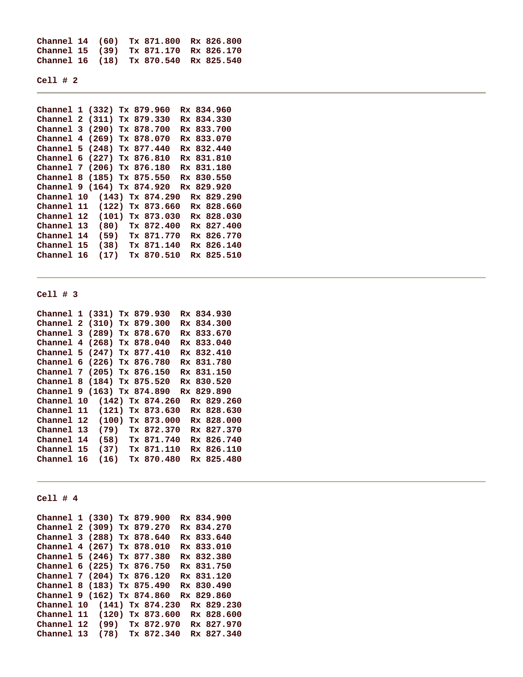**Channel 14 (60) Tx 871.800 Rx 826.800 Channel 15 (39) Tx 871.170 Rx 826.170 Channel 16 (18) Tx 870.540 Rx 825.540** 

```
Cell # 2
```

| Channel 1 (332) Tx 879.960 |                  |  |                    |  | Rx 834.960 |  |
|----------------------------|------------------|--|--------------------|--|------------|--|
| Channel 2 (311) Tx 879.330 |                  |  |                    |  | Rx 834.330 |  |
| Channel 3 (290) Tx 878.700 |                  |  |                    |  | Rx 833.700 |  |
| Channel 4 (269) Tx 878.070 |                  |  |                    |  | Rx 833.070 |  |
| Channel 5 (248) Tx 877.440 |                  |  |                    |  | Rx 832.440 |  |
| Channel 6 (227) Tx 876.810 |                  |  |                    |  | Rx 831.810 |  |
| Channel 7 (206) Tx 876.180 |                  |  |                    |  | Rx 831.180 |  |
| Channel 8 (185) Tx 875.550 |                  |  |                    |  | Rx 830.550 |  |
| Channel 9 (164) Tx 874.920 |                  |  |                    |  | Rx 829.920 |  |
| Channel 10                 |                  |  | $(143)$ Tx 874.290 |  | Rx 829.290 |  |
| Channel 11                 | (122) Tx 873.660 |  |                    |  | Rx 828.660 |  |
| Channel 12                 |                  |  | $(101)$ Tx 873.030 |  | Rx 828.030 |  |
| Channel 13                 |                  |  | $(80)$ Tx 872.400  |  | Rx 827.400 |  |
| Channel 14                 |                  |  | (59) Tx 871.770    |  | Rx 826.770 |  |
| Channel 15                 | (38)             |  | Tx 871.140         |  | Rx 826.140 |  |
| Channel 16                 | (17)             |  | Tx 870.510         |  | Rx 825.510 |  |
|                            |                  |  |                    |  |            |  |

#### **Cell # 3**

| Channel 1 (331) Tx 879.930 |                     |  |            |  | Rx 834.930 |  |
|----------------------------|---------------------|--|------------|--|------------|--|
| Channel 2 (310) Tx 879.300 |                     |  |            |  | Rx 834.300 |  |
| Channel 3 (289) Tx 878.670 |                     |  |            |  | Rx 833.670 |  |
| Channel 4 (268) Tx 878.040 |                     |  |            |  | Rx 833.040 |  |
| Channel 5 (247) Tx 877.410 |                     |  |            |  | Rx 832.410 |  |
| Channel 6 (226) Tx 876.780 |                     |  |            |  | Rx 831.780 |  |
| Channel 7 (205) Tx 876.150 |                     |  |            |  | Rx 831.150 |  |
| Channel 8 (184) Tx 875.520 |                     |  |            |  | Rx 830.520 |  |
| Channel 9 (163) Tx 874.890 |                     |  |            |  | Rx 829.890 |  |
| Channel 10                 | (142) Tx 874.260    |  |            |  | Rx 829.260 |  |
| Channel 11                 | (121) Tx 873.630    |  |            |  | Rx 828.630 |  |
| Channel 12                 | $(100)$ Tx 873.000  |  |            |  | Rx 828.000 |  |
| Channel 13                 | $(79)$ Tx 872.370   |  |            |  | Rx 827.370 |  |
| Channel 14                 | $(58)$ Tx $871.740$ |  |            |  | Rx 826.740 |  |
| Channel 15                 | $(37)$ Tx $871.110$ |  |            |  | Rx 826.110 |  |
| Channel 16                 | (16)                |  | Tx 870.480 |  | Rx 825.480 |  |

### **Cell # 4**

**Channel 1 (330) Tx 879.900 Rx 834.900 Channel 2 (309) Tx 879.270 Rx 834.270 Channel 3 (288) Tx 878.640 Rx 833.640 Channel 4 (267) Tx 878.010 Rx 833.010 Channel 5 (246) Tx 877.380 Rx 832.380 Channel 6 (225) Tx 876.750 Rx 831.750 Channel 7 (204) Tx 876.120 Rx 831.120 Channel 8 (183) Tx 875.490 Rx 830.490 Channel 9 (162) Tx 874.860 Rx 829.860 Channel 10 (141) Tx 874.230 Rx 829.230 Channel 11 (120) Tx 873.600 Rx 828.600 Channel 12 (99) Tx 872.970 Rx 827.970 Channel 13 (78) Tx 872.340 Rx 827.340**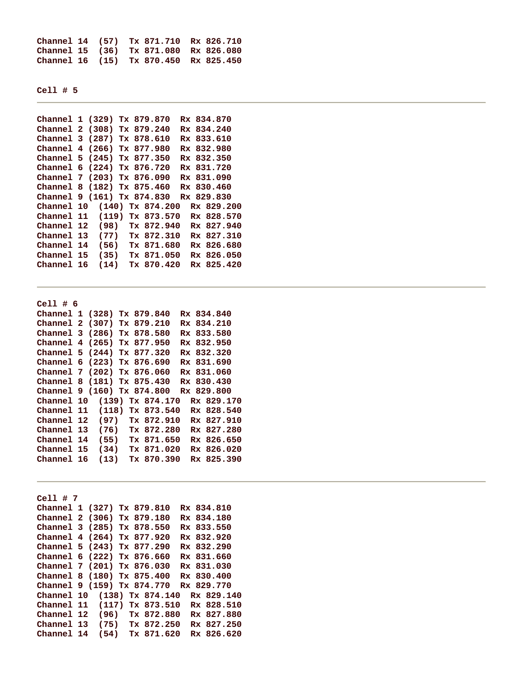**Channel 14 (57) Tx 871.710 Rx 826.710 Channel 15 (36) Tx 871.080 Rx 826.080 Channel 16 (15) Tx 870.450 Rx 825.450** 

**Cell # 5** 

| Channel 1 (329) Tx 879.870 |                    |  |  |            |  | Rx 834.870 |  |
|----------------------------|--------------------|--|--|------------|--|------------|--|
| Channel 2 (308) Tx 879.240 |                    |  |  |            |  | Rx 834.240 |  |
| Channel 3 (287) Tx 878.610 |                    |  |  |            |  | Rx 833.610 |  |
| Channel 4 (266) Tx 877.980 |                    |  |  |            |  | Rx 832.980 |  |
| Channel 5 (245) Tx 877.350 |                    |  |  |            |  | Rx 832.350 |  |
| Channel 6 (224) Tx 876.720 |                    |  |  |            |  | Rx 831.720 |  |
| Channel 7 (203) Tx 876.090 |                    |  |  |            |  | Rx 831.090 |  |
| Channel 8 (182) Tx 875.460 |                    |  |  |            |  | Rx 830.460 |  |
| Channel 9 (161) Tx 874.830 |                    |  |  |            |  | Rx 829.830 |  |
| Channel 10                 | $(140)$ Tx 874.200 |  |  |            |  | Rx 829.200 |  |
| Channel 11                 | $(119)$ Tx 873.570 |  |  |            |  | Rx 828.570 |  |
| Channel 12                 | $(98)$ Tx 872.940  |  |  |            |  | Rx 827.940 |  |
| Channel 13                 | $(77)$ Tx 872.310  |  |  |            |  | Rx 827.310 |  |
| Channel 14                 | (56)               |  |  | Tx 871.680 |  | Rx 826.680 |  |
| Channel 15                 | (35)               |  |  | Tx 871.050 |  | Rx 826.050 |  |
| Channel 16                 | (14)               |  |  | Tx 870.420 |  | Rx 825.420 |  |
|                            |                    |  |  |            |  |            |  |

**Cell # 6 Channel 1 (328) Tx 879.840 Rx 834.840 Channel 2 (307) Tx 879.210 Rx 834.210 Channel 3 (286) Tx 878.580 Rx 833.580 Channel 4 (265) Tx 877.950 Rx 832.950 Channel 5 (244) Tx 877.320 Rx 832.320 Channel 6 (223) Tx 876.690 Rx 831.690 Channel 7 (202) Tx 876.060 Rx 831.060 Channel 8 (181) Tx 875.430 Rx 830.430 Channel 9 (160) Tx 874.800 Rx 829.800 Channel 10 (139) Tx 874.170 Rx 829.170 Channel 11 (118) Tx 873.540 Rx 828.540 Channel 12 (97) Tx 872.910 Rx 827.910 Channel 13 (76) Tx 872.280 Rx 827.280 Channel 14 (55) Tx 871.650 Rx 826.650 Channel 15 (34) Tx 871.020 Rx 826.020 Channel 16 (13) Tx 870.390 Rx 825.390** 

**Cell # 7 Channel 1 (327) Tx 879.810 Rx 834.810 Channel 2 (306) Tx 879.180 Rx 834.180 Channel 3 (285) Tx 878.550 Rx 833.550 Channel 4 (264) Tx 877.920 Rx 832.920 Channel 5 (243) Tx 877.290 Rx 832.290 Channel 6 (222) Tx 876.660 Rx 831.660 Channel 7 (201) Tx 876.030 Rx 831.030 Channel 8 (180) Tx 875.400 Rx 830.400 Channel 9 (159) Tx 874.770 Rx 829.770 Channel 10 (138) Tx 874.140 Rx 829.140 Channel 11 (117) Tx 873.510 Rx 828.510 Channel 12 (96) Tx 872.880 Rx 827.880 Channel 13 (75) Tx 872.250 Rx 827.250 Channel 14 (54) Tx 871.620 Rx 826.620**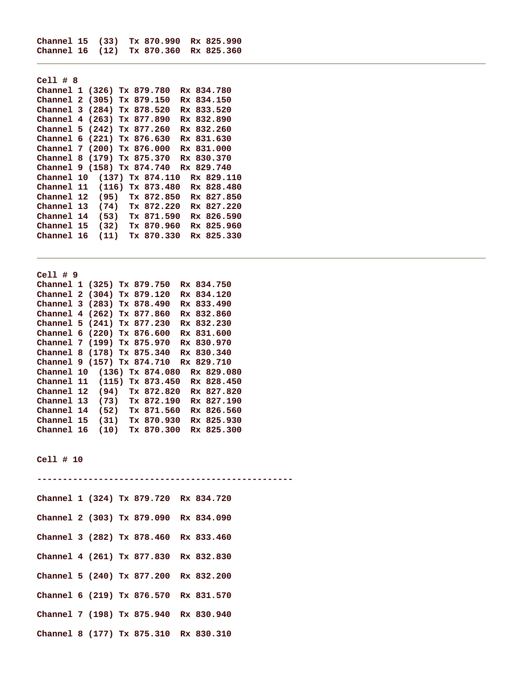**Channel 15 (33) Tx 870.990 Rx 825.990 Channel 16 (12) Tx 870.360 Rx 825.360** 

| $Cell$ # 8                 |                   |  |            |  |            |            |  |
|----------------------------|-------------------|--|------------|--|------------|------------|--|
| Channel 1 (326) Tx 879.780 |                   |  |            |  | Rx 834.780 |            |  |
| Channel 2 (305) Tx 879.150 |                   |  |            |  | Rx 834.150 |            |  |
| Channel 3 (284) Tx 878.520 |                   |  |            |  | Rx 833.520 |            |  |
| Channel 4 (263) Tx 877.890 |                   |  |            |  | Rx 832.890 |            |  |
| Channel 5 (242) Tx 877.260 |                   |  |            |  | Rx 832.260 |            |  |
| Channel 6 (221) Tx 876.630 |                   |  |            |  | Rx 831.630 |            |  |
| Channel 7 (200) Tx 876.000 |                   |  |            |  | Rx 831.000 |            |  |
| Channel 8 (179) Tx 875.370 |                   |  |            |  | Rx 830.370 |            |  |
| Channel 9 (158) Tx 874.740 |                   |  |            |  | Rx 829.740 |            |  |
| Channel 10                 | (137) Tx 874.110  |  |            |  |            | Rx 829.110 |  |
| Channel 11                 | (116) Tx 873.480  |  |            |  |            | Rx 828.480 |  |
| Channel 12                 | $(95)$ Tx 872.850 |  |            |  |            | Rx 827.850 |  |
| Channel 13                 | $(74)$ Tx 872.220 |  |            |  |            | Rx 827.220 |  |
| Channel 14                 | (53)              |  | Tx 871.590 |  |            | Rx 826.590 |  |
| Channel 15                 | (32)              |  | Tx 870.960 |  |            | Rx 825.960 |  |
| Channel 16                 | (11)              |  | Tx 870.330 |  |            | Rx 825.330 |  |

**Cell # 9** 

|            | Channel 1 (325) Tx 879.750 |                    |  | Rx 834.750 |
|------------|----------------------------|--------------------|--|------------|
|            | Channel 2 (304) Tx 879.120 |                    |  | Rx 834.120 |
|            | Channel 3 (283) Tx 878.490 |                    |  | Rx 833.490 |
|            | Channel 4 (262) Tx 877.860 |                    |  | Rx 832.860 |
|            | Channel 5 (241) Tx 877.230 |                    |  | Rx 832.230 |
|            | Channel 6 (220) Tx 876.600 |                    |  | Rx 831.600 |
|            | Channel 7 (199) Tx 875.970 |                    |  | Rx 830.970 |
|            | Channel 8 (178) Tx 875.340 |                    |  | Rx 830.340 |
|            | Channel 9 (157) Tx 874.710 |                    |  | Rx 829.710 |
| Channel 10 |                            | $(136)$ Tx 874.080 |  | Rx 829.080 |
| Channel 11 | (115) Tx 873.450           |                    |  | Rx 828.450 |
| Channel 12 |                            | $(94)$ Tx 872.820  |  | Rx 827.820 |
| Channel 13 |                            | $(73)$ Tx 872.190  |  | Rx 827.190 |
| Channel 14 | (52)                       | Tx 871.560         |  | Rx 826.560 |
| Channel 15 | (31)                       | Tx 870.930         |  | Rx 825.930 |
| Channel 16 | (10)                       | Tx 870.300         |  | Rx 825.300 |

**Cell # 10** 

**-------------------------------------------------- Channel 1 (324) Tx 879.720 Rx 834.720 Channel 2 (303) Tx 879.090 Rx 834.090 Channel 3 (282) Tx 878.460 Rx 833.460 Channel 4 (261) Tx 877.830 Rx 832.830 Channel 5 (240) Tx 877.200 Rx 832.200 Channel 6 (219) Tx 876.570 Rx 831.570 Channel 7 (198) Tx 875.940 Rx 830.940 Channel 8 (177) Tx 875.310 Rx 830.310**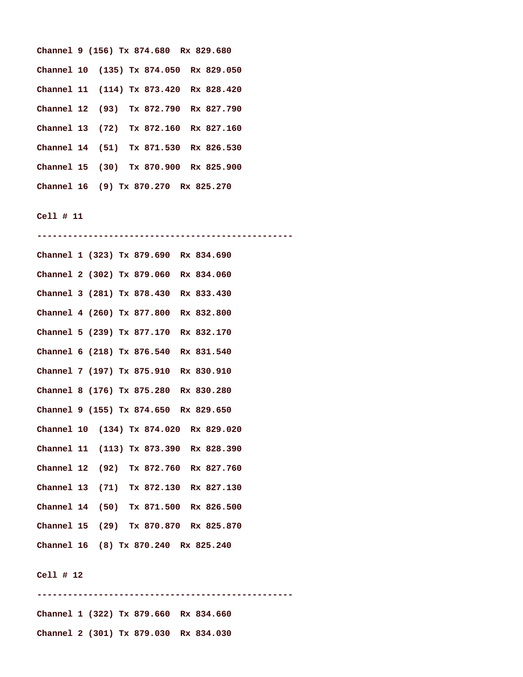|  |  | Channel 9 (156) Tx 874.680 Rx 829.680  |  |  |
|--|--|----------------------------------------|--|--|
|  |  | Channel 10 (135) Tx 874.050 Rx 829.050 |  |  |
|  |  | Channel 11 (114) Tx 873.420 Rx 828.420 |  |  |
|  |  | Channel 12 (93) Tx 872.790 Rx 827.790  |  |  |
|  |  | Channel 13 (72) Tx 872.160 Rx 827.160  |  |  |
|  |  | Channel 14 (51) Tx 871.530 Rx 826.530  |  |  |
|  |  | Channel 15 (30) Tx 870.900 Rx 825.900  |  |  |
|  |  | Channel 16 (9) Tx 870.270 Rx 825.270   |  |  |

**-------------------------------------------------- Channel 1 (323) Tx 879.690 Rx 834.690 Channel 2 (302) Tx 879.060 Rx 834.060 Channel 3 (281) Tx 878.430 Rx 833.430 Channel 4 (260) Tx 877.800 Rx 832.800 Channel 5 (239) Tx 877.170 Rx 832.170 Channel 6 (218) Tx 876.540 Rx 831.540 Channel 7 (197) Tx 875.910 Rx 830.910 Channel 8 (176) Tx 875.280 Rx 830.280 Channel 9 (155) Tx 874.650 Rx 829.650 Channel 10 (134) Tx 874.020 Rx 829.020 Channel 11 (113) Tx 873.390 Rx 828.390 Channel 12 (92) Tx 872.760 Rx 827.760 Channel 13 (71) Tx 872.130 Rx 827.130 Channel 14 (50) Tx 871.500 Rx 826.500 Channel 15 (29) Tx 870.870 Rx 825.870 Channel 16 (8) Tx 870.240 Rx 825.240** 

#### **Cell # 12**

**-------------------------------------------------- Channel 1 (322) Tx 879.660 Rx 834.660 Channel 2 (301) Tx 879.030 Rx 834.030**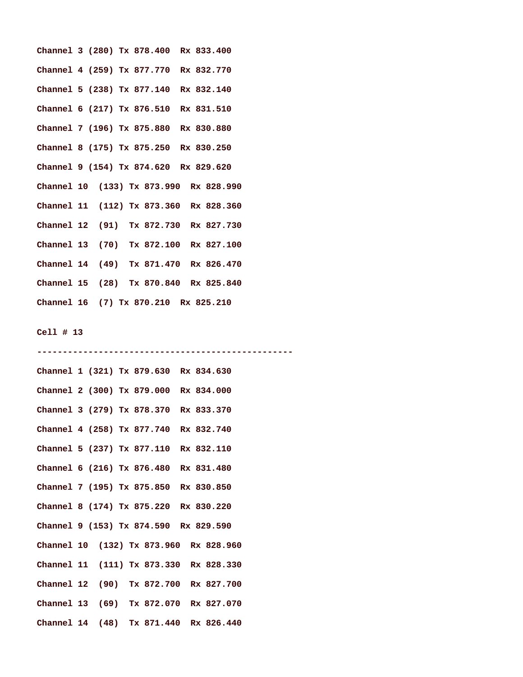| Channel 3 (280) Tx 878.400 Rx 833.400  |  |  |  |  |
|----------------------------------------|--|--|--|--|
| Channel 4 (259) Tx 877.770 Rx 832.770  |  |  |  |  |
| Channel 5 (238) Tx 877.140 Rx 832.140  |  |  |  |  |
| Channel 6 (217) Tx 876.510 Rx 831.510  |  |  |  |  |
| Channel 7 (196) Tx 875.880 Rx 830.880  |  |  |  |  |
| Channel 8 (175) Tx 875.250 Rx 830.250  |  |  |  |  |
| Channel 9 (154) Tx 874.620 Rx 829.620  |  |  |  |  |
| Channel 10 (133) Tx 873.990 Rx 828.990 |  |  |  |  |
| Channel 11 (112) Tx 873.360 Rx 828.360 |  |  |  |  |
| Channel 12 (91) Tx 872.730 Rx 827.730  |  |  |  |  |
| Channel 13 (70) Tx 872.100 Rx 827.100  |  |  |  |  |
| Channel 14 (49) Tx 871.470 Rx 826.470  |  |  |  |  |
| Channel 15 (28) Tx 870.840 Rx 825.840  |  |  |  |  |
| Channel 16 (7) Tx 870.210 Rx 825.210   |  |  |  |  |

```
-------------------------------------------------- 
Channel 1 (321) Tx 879.630 Rx 834.630 
Channel 2 (300) Tx 879.000 Rx 834.000 
Channel 3 (279) Tx 878.370 Rx 833.370 
Channel 4 (258) Tx 877.740 Rx 832.740 
Channel 5 (237) Tx 877.110 Rx 832.110 
Channel 6 (216) Tx 876.480 Rx 831.480 
Channel 7 (195) Tx 875.850 Rx 830.850 
Channel 8 (174) Tx 875.220 Rx 830.220 
Channel 9 (153) Tx 874.590 Rx 829.590 
Channel 10 (132) Tx 873.960 Rx 828.960 
Channel 11 (111) Tx 873.330 Rx 828.330 
Channel 12 (90) Tx 872.700 Rx 827.700 
Channel 13 (69) Tx 872.070 Rx 827.070 
Channel 14 (48) Tx 871.440 Rx 826.440
```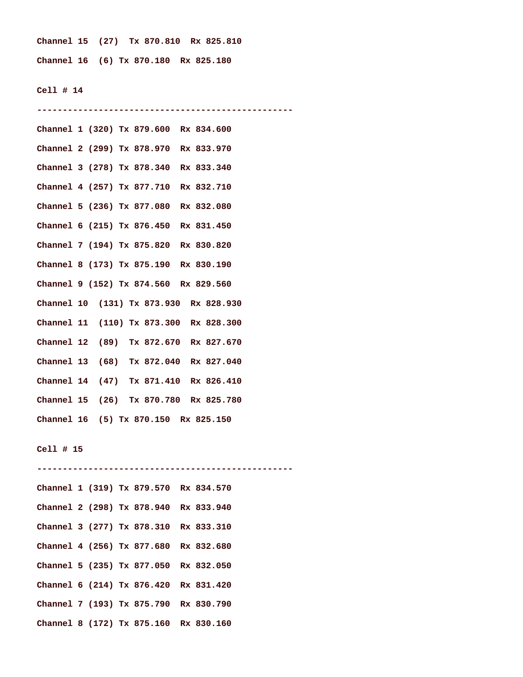**Channel 15 (27) Tx 870.810 Rx 825.810 Channel 16 (6) Tx 870.180 Rx 825.180** 

**Cell # 14** 

| Channel 1 (320) Tx 879.600 Rx 834.600  |
|----------------------------------------|
| Channel 2 (299) Tx 878.970 Rx 833.970  |
| Channel 3 (278) Tx 878.340 Rx 833.340  |
| Channel 4 (257) Tx 877.710 Rx 832.710  |
| Channel 5 (236) Tx 877.080 Rx 832.080  |
| Channel 6 (215) Tx 876.450 Rx 831.450  |
| Channel 7 (194) Tx 875.820 Rx 830.820  |
| Channel 8 (173) Tx 875.190 Rx 830.190  |
| Channel 9 (152) Tx 874.560 Rx 829.560  |
| Channel 10 (131) Tx 873.930 Rx 828.930 |
| Channel 11 (110) Tx 873.300 Rx 828.300 |
| Channel 12 (89) Tx 872.670 Rx 827.670  |
| Channel 13 (68) Tx 872.040 Rx 827.040  |
| Channel 14 (47) Tx 871.410 Rx 826.410  |
| Channel 15 (26) Tx 870.780 Rx 825.780  |
| Channel 16 (5) Tx 870.150 Rx 825.150   |
| Cell # 15                              |
| Channel 1 (319) Tx 879.570 Rx 834.570  |
| Channel 2 (298) Tx 878.940 Rx 833.940  |
| Channel 3 (277) Tx 878.310 Rx 833.310  |
| Channel 4 (256) Tx 877.680 Rx 832.680  |
| Channel 5 (235) Tx 877.050 Rx 832.050  |
| Channel 6 (214) Tx 876.420 Rx 831.420  |
| Channel 7 (193) Tx 875.790 Rx 830.790  |
|                                        |

**Channel 8 (172) Tx 875.160 Rx 830.160**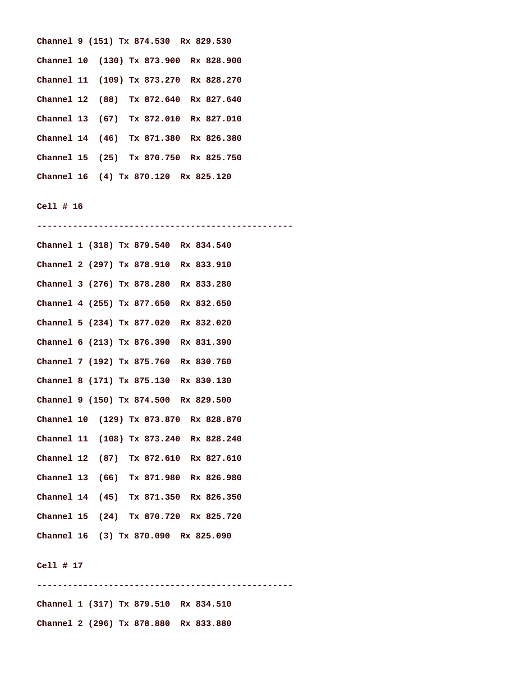|  |  | Channel 9 (151) Tx 874.530 Rx 829.530  |  |
|--|--|----------------------------------------|--|
|  |  | Channel 10 (130) Tx 873.900 Rx 828.900 |  |
|  |  | Channel 11 (109) Tx 873.270 Rx 828.270 |  |
|  |  | Channel 12 (88) Tx 872.640 Rx 827.640  |  |
|  |  | Channel 13 (67) Tx 872.010 Rx 827.010  |  |
|  |  | Channel 14 (46) Tx 871.380 Rx 826.380  |  |
|  |  | Channel 15 (25) Tx 870.750 Rx 825.750  |  |
|  |  | Channel 16 (4) Tx 870.120 Rx 825.120   |  |

**-------------------------------------------------- Channel 1 (318) Tx 879.540 Rx 834.540 Channel 2 (297) Tx 878.910 Rx 833.910 Channel 3 (276) Tx 878.280 Rx 833.280 Channel 4 (255) Tx 877.650 Rx 832.650 Channel 5 (234) Tx 877.020 Rx 832.020 Channel 6 (213) Tx 876.390 Rx 831.390 Channel 7 (192) Tx 875.760 Rx 830.760 Channel 8 (171) Tx 875.130 Rx 830.130 Channel 9 (150) Tx 874.500 Rx 829.500 Channel 10 (129) Tx 873.870 Rx 828.870 Channel 11 (108) Tx 873.240 Rx 828.240 Channel 12 (87) Tx 872.610 Rx 827.610 Channel 13 (66) Tx 871.980 Rx 826.980 Channel 14 (45) Tx 871.350 Rx 826.350 Channel 15 (24) Tx 870.720 Rx 825.720 Channel 16 (3) Tx 870.090 Rx 825.090** 

### **Cell # 17**

**-------------------------------------------------- Channel 1 (317) Tx 879.510 Rx 834.510 Channel 2 (296) Tx 878.880 Rx 833.880**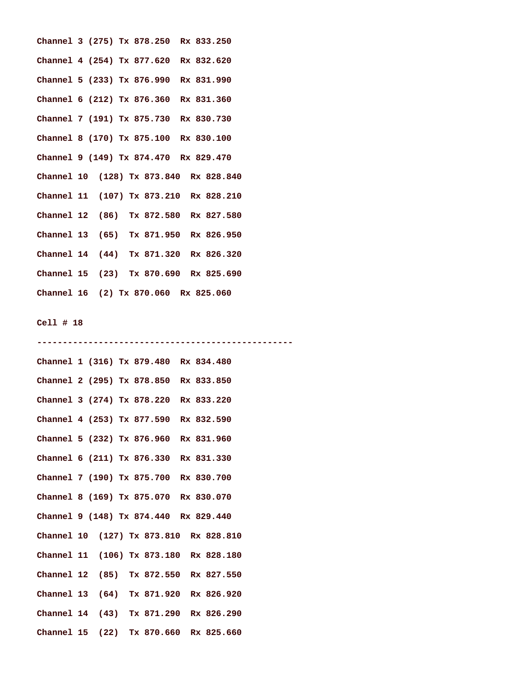| Channel 3 (275) Tx 878.250 Rx 833.250  |  |  |  |  |  |
|----------------------------------------|--|--|--|--|--|
| Channel 4 (254) Tx 877.620 Rx 832.620  |  |  |  |  |  |
| Channel 5 (233) Tx 876.990 Rx 831.990  |  |  |  |  |  |
| Channel 6 (212) Tx 876.360 Rx 831.360  |  |  |  |  |  |
| Channel 7 (191) Tx 875.730 Rx 830.730  |  |  |  |  |  |
| Channel 8 (170) Tx 875.100 Rx 830.100  |  |  |  |  |  |
| Channel 9 (149) Tx 874.470 Rx 829.470  |  |  |  |  |  |
| Channel 10 (128) Tx 873.840 Rx 828.840 |  |  |  |  |  |
| Channel 11 (107) Tx 873.210 Rx 828.210 |  |  |  |  |  |
| Channel 12 (86) Tx 872.580 Rx 827.580  |  |  |  |  |  |
| Channel 13 (65) Tx 871.950 Rx 826.950  |  |  |  |  |  |
| Channel 14 (44) Tx 871.320 Rx 826.320  |  |  |  |  |  |
| Channel 15 (23) Tx 870.690 Rx 825.690  |  |  |  |  |  |
| Channel 16 (2) Tx 870.060 Rx 825.060   |  |  |  |  |  |

| Channel 1 (316) Tx 879.480 Rx 834.480  |  |  |  |  |  |
|----------------------------------------|--|--|--|--|--|
| Channel 2 (295) Tx 878.850 Rx 833.850  |  |  |  |  |  |
| Channel 3 (274) Tx 878.220 Rx 833.220  |  |  |  |  |  |
| Channel 4 (253) Tx 877.590 Rx 832.590  |  |  |  |  |  |
| Channel 5 (232) Tx 876.960 Rx 831.960  |  |  |  |  |  |
| Channel 6 (211) Tx 876.330 Rx 831.330  |  |  |  |  |  |
| Channel 7 (190) Tx 875.700 Rx 830.700  |  |  |  |  |  |
| Channel 8 (169) Tx 875.070 Rx 830.070  |  |  |  |  |  |
| Channel 9 (148) Tx 874.440 Rx 829.440  |  |  |  |  |  |
| Channel 10 (127) Tx 873.810 Rx 828.810 |  |  |  |  |  |
| Channel 11 (106) Tx 873.180 Rx 828.180 |  |  |  |  |  |
| Channel 12 (85) Tx 872.550 Rx 827.550  |  |  |  |  |  |
| Channel 13 (64) Tx 871.920 Rx 826.920  |  |  |  |  |  |
| Channel 14 (43) Tx 871.290 Rx 826.290  |  |  |  |  |  |
| Channel 15 (22) Tx 870.660 Rx 825.660  |  |  |  |  |  |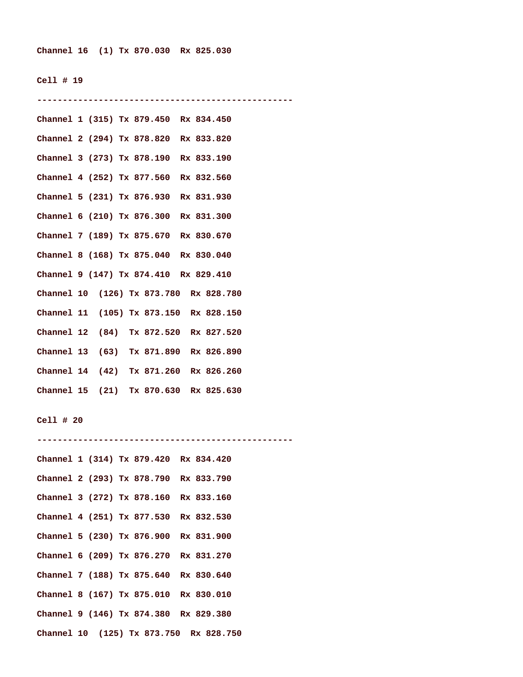**--------------------------------------------------** 

**Channel 1 (315) Tx 879.450 Rx 834.450 Channel 2 (294) Tx 878.820 Rx 833.820 Channel 3 (273) Tx 878.190 Rx 833.190 Channel 4 (252) Tx 877.560 Rx 832.560 Channel 5 (231) Tx 876.930 Rx 831.930 Channel 6 (210) Tx 876.300 Rx 831.300 Channel 7 (189) Tx 875.670 Rx 830.670 Channel 8 (168) Tx 875.040 Rx 830.040 Channel 9 (147) Tx 874.410 Rx 829.410 Channel 10 (126) Tx 873.780 Rx 828.780 Channel 11 (105) Tx 873.150 Rx 828.150 Channel 12 (84) Tx 872.520 Rx 827.520 Channel 13 (63) Tx 871.890 Rx 826.890 Channel 14 (42) Tx 871.260 Rx 826.260 Channel 15 (21) Tx 870.630 Rx 825.630** 

```
Cell # 20
```
**Channel 1 (314) Tx 879.420 Rx 834.420 Channel 2 (293) Tx 878.790 Rx 833.790 Channel 3 (272) Tx 878.160 Rx 833.160 Channel 4 (251) Tx 877.530 Rx 832.530 Channel 5 (230) Tx 876.900 Rx 831.900 Channel 6 (209) Tx 876.270 Rx 831.270 Channel 7 (188) Tx 875.640 Rx 830.640 Channel 8 (167) Tx 875.010 Rx 830.010 Channel 9 (146) Tx 874.380 Rx 829.380 Channel 10 (125) Tx 873.750 Rx 828.750** 

**--------------------------------------------------**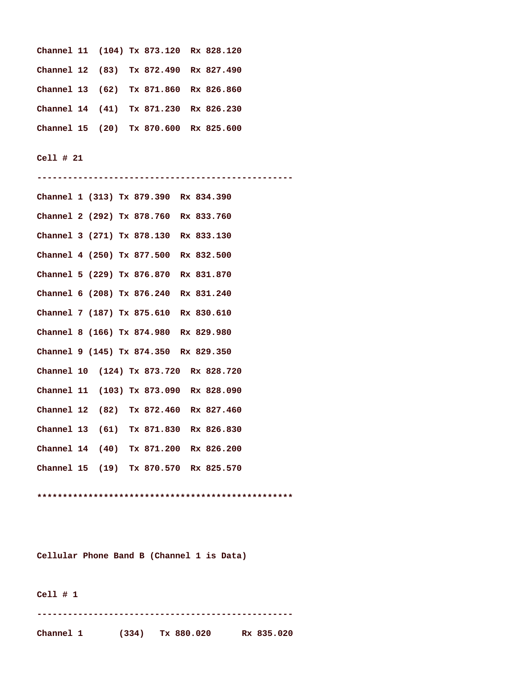```
Channel 11 (104) Tx 873.120 Rx 828.120 
Channel 12 (83) Tx 872.490 Rx 827.490 
Channel 13 (62) Tx 871.860 Rx 826.860 
Channel 14 (41) Tx 871.230 Rx 826.230 
Channel 15 (20) Tx 870.600 Rx 825.600
```
**-------------------------------------------------- Channel 1 (313) Tx 879.390 Rx 834.390 Channel 2 (292) Tx 878.760 Rx 833.760 Channel 3 (271) Tx 878.130 Rx 833.130 Channel 4 (250) Tx 877.500 Rx 832.500 Channel 5 (229) Tx 876.870 Rx 831.870 Channel 6 (208) Tx 876.240 Rx 831.240 Channel 7 (187) Tx 875.610 Rx 830.610 Channel 8 (166) Tx 874.980 Rx 829.980 Channel 9 (145) Tx 874.350 Rx 829.350 Channel 10 (124) Tx 873.720 Rx 828.720 Channel 11 (103) Tx 873.090 Rx 828.090 Channel 12 (82) Tx 872.460 Rx 827.460 Channel 13 (61) Tx 871.830 Rx 826.830 Channel 14 (40) Tx 871.200 Rx 826.200 Channel 15 (19) Tx 870.570 Rx 825.570** 

**\*\*\*\*\*\*\*\*\*\*\*\*\*\*\*\*\*\*\*\*\*\*\*\*\*\*\*\*\*\*\*\*\*\*\*\*\*\*\*\*\*\*\*\*\*\*\*\*\*\*** 

**Cellular Phone Band B (Channel 1 is Data)** 

**Cell # 1** 

**--------------------------------------------------** 

**Channel 1 (334) Tx 880.020 Rx 835.020**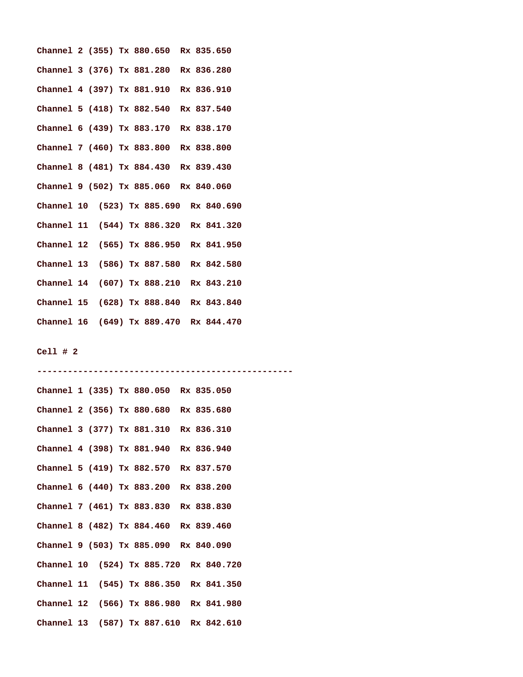| Channel 2 (355) Tx 880.650 Rx 835.650  |  |  |  |  |  |  |
|----------------------------------------|--|--|--|--|--|--|
| Channel 3 (376) Tx 881.280 Rx 836.280  |  |  |  |  |  |  |
| Channel 4 (397) Tx 881.910 Rx 836.910  |  |  |  |  |  |  |
| Channel 5 (418) Tx 882.540 Rx 837.540  |  |  |  |  |  |  |
| Channel 6 (439) Tx 883.170 Rx 838.170  |  |  |  |  |  |  |
| Channel 7 (460) Tx 883.800 Rx 838.800  |  |  |  |  |  |  |
| Channel 8 (481) Tx 884.430 Rx 839.430  |  |  |  |  |  |  |
| Channel 9 (502) Tx 885.060 Rx 840.060  |  |  |  |  |  |  |
| Channel 10 (523) Tx 885.690 Rx 840.690 |  |  |  |  |  |  |
| Channel 11 (544) Tx 886.320 Rx 841.320 |  |  |  |  |  |  |
| Channel 12 (565) Tx 886.950 Rx 841.950 |  |  |  |  |  |  |
| Channel 13 (586) Tx 887.580 Rx 842.580 |  |  |  |  |  |  |
| Channel 14 (607) Tx 888.210 Rx 843.210 |  |  |  |  |  |  |
| Channel 15 (628) Tx 888.840 Rx 843.840 |  |  |  |  |  |  |
| Channel 16 (649) Tx 889.470 Rx 844.470 |  |  |  |  |  |  |

**Channel 1 (335) Tx 880.050 Rx 835.050 Channel 2 (356) Tx 880.680 Rx 835.680 Channel 3 (377) Tx 881.310 Rx 836.310 Channel 4 (398) Tx 881.940 Rx 836.940 Channel 5 (419) Tx 882.570 Rx 837.570 Channel 6 (440) Tx 883.200 Rx 838.200 Channel 7 (461) Tx 883.830 Rx 838.830 Channel 8 (482) Tx 884.460 Rx 839.460 Channel 9 (503) Tx 885.090 Rx 840.090 Channel 10 (524) Tx 885.720 Rx 840.720 Channel 11 (545) Tx 886.350 Rx 841.350 Channel 12 (566) Tx 886.980 Rx 841.980 Channel 13 (587) Tx 887.610 Rx 842.610** 

**--------------------------------------------------**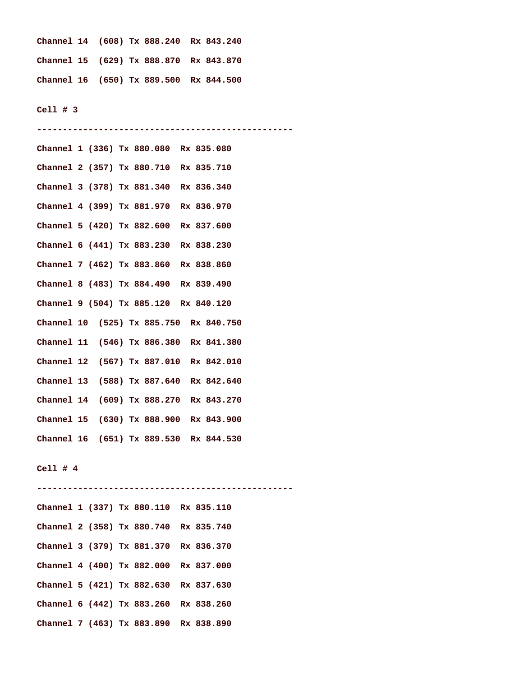|  |  | Channel 14 (608) Tx 888.240 Rx 843.240 |  |
|--|--|----------------------------------------|--|
|  |  | Channel 15 (629) Tx 888.870 Rx 843.870 |  |
|  |  | Channel 16 (650) Tx 889.500 Rx 844.500 |  |

**--------------------------------------------------** 

**Cell # 3** 

**Channel 1 (336) Tx 880.080 Rx 835.080 Channel 2 (357) Tx 880.710 Rx 835.710 Channel 3 (378) Tx 881.340 Rx 836.340 Channel 4 (399) Tx 881.970 Rx 836.970 Channel 5 (420) Tx 882.600 Rx 837.600 Channel 6 (441) Tx 883.230 Rx 838.230 Channel 7 (462) Tx 883.860 Rx 838.860 Channel 8 (483) Tx 884.490 Rx 839.490 Channel 9 (504) Tx 885.120 Rx 840.120 Channel 10 (525) Tx 885.750 Rx 840.750 Channel 11 (546) Tx 886.380 Rx 841.380 Channel 12 (567) Tx 887.010 Rx 842.010 Channel 13 (588) Tx 887.640 Rx 842.640 Channel 14 (609) Tx 888.270 Rx 843.270 Channel 15 (630) Tx 888.900 Rx 843.900 Channel 16 (651) Tx 889.530 Rx 844.530** 

**Cell # 4** 

**-------------------------------------------------- Channel 1 (337) Tx 880.110 Rx 835.110 Channel 2 (358) Tx 880.740 Rx 835.740 Channel 3 (379) Tx 881.370 Rx 836.370 Channel 4 (400) Tx 882.000 Rx 837.000 Channel 5 (421) Tx 882.630 Rx 837.630 Channel 6 (442) Tx 883.260 Rx 838.260 Channel 7 (463) Tx 883.890 Rx 838.890**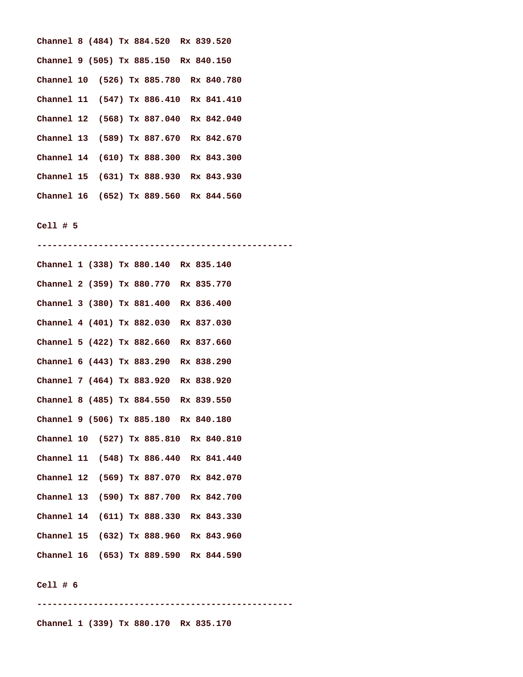| Channel 8 (484) Tx 884.520 Rx 839.520  |  |  |  |  |  |
|----------------------------------------|--|--|--|--|--|
| Channel 9 (505) Tx 885.150 Rx 840.150  |  |  |  |  |  |
| Channel 10 (526) Tx 885.780 Rx 840.780 |  |  |  |  |  |
| Channel 11 (547) Tx 886.410 Rx 841.410 |  |  |  |  |  |
| Channel 12 (568) Tx 887.040 Rx 842.040 |  |  |  |  |  |
| Channel 13 (589) Tx 887.670 Rx 842.670 |  |  |  |  |  |
| Channel 14 (610) Tx 888.300 Rx 843.300 |  |  |  |  |  |
| Channel 15 (631) Tx 888.930 Rx 843.930 |  |  |  |  |  |
| Channel 16 (652) Tx 889.560 Rx 844.560 |  |  |  |  |  |

**--------------------------------------------------** 

| Channel 1 (338) Tx 880.140 Rx 835.140  |  |  |  |  |  |  |
|----------------------------------------|--|--|--|--|--|--|
| Channel 2 (359) Tx 880.770 Rx 835.770  |  |  |  |  |  |  |
| Channel 3 (380) Tx 881.400 Rx 836.400  |  |  |  |  |  |  |
| Channel 4 (401) Tx 882.030 Rx 837.030  |  |  |  |  |  |  |
| Channel 5 (422) Tx 882.660 Rx 837.660  |  |  |  |  |  |  |
| Channel 6 (443) Tx 883.290 Rx 838.290  |  |  |  |  |  |  |
| Channel 7 (464) Tx 883.920 Rx 838.920  |  |  |  |  |  |  |
| Channel 8 (485) Tx 884.550 Rx 839.550  |  |  |  |  |  |  |
| Channel 9 (506) Tx 885.180 Rx 840.180  |  |  |  |  |  |  |
| Channel 10 (527) Tx 885.810 Rx 840.810 |  |  |  |  |  |  |
| Channel 11 (548) Tx 886.440 Rx 841.440 |  |  |  |  |  |  |
| Channel 12 (569) Tx 887.070 Rx 842.070 |  |  |  |  |  |  |
| Channel 13 (590) Tx 887.700 Rx 842.700 |  |  |  |  |  |  |
| Channel 14 (611) Tx 888.330 Rx 843.330 |  |  |  |  |  |  |
| Channel 15 (632) Tx 888.960 Rx 843.960 |  |  |  |  |  |  |
| Channel 16 (653) Tx 889.590 Rx 844.590 |  |  |  |  |  |  |

# **Cell # 6**

**--------------------------------------------------** 

**Channel 1 (339) Tx 880.170 Rx 835.170**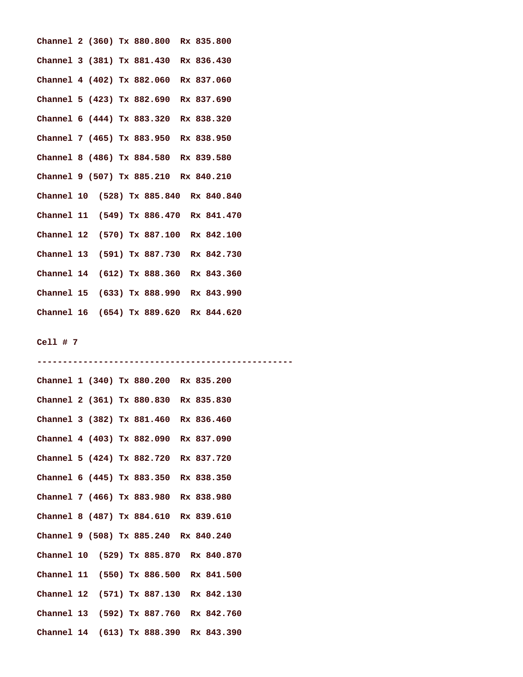| Channel 2 (360) Tx 880.800 Rx 835.800  |  |  |  |  |  |  |
|----------------------------------------|--|--|--|--|--|--|
| Channel 3 (381) Tx 881.430 Rx 836.430  |  |  |  |  |  |  |
| Channel 4 (402) Tx 882.060 Rx 837.060  |  |  |  |  |  |  |
| Channel 5 (423) Tx 882.690 Rx 837.690  |  |  |  |  |  |  |
| Channel 6 (444) Tx 883.320 Rx 838.320  |  |  |  |  |  |  |
| Channel 7 (465) Tx 883.950 Rx 838.950  |  |  |  |  |  |  |
| Channel 8 (486) Tx 884.580 Rx 839.580  |  |  |  |  |  |  |
| Channel 9 (507) Tx 885.210 Rx 840.210  |  |  |  |  |  |  |
| Channel 10 (528) Tx 885.840 Rx 840.840 |  |  |  |  |  |  |
| Channel 11 (549) Tx 886.470 Rx 841.470 |  |  |  |  |  |  |
| Channel 12 (570) Tx 887.100 Rx 842.100 |  |  |  |  |  |  |
| Channel 13 (591) Tx 887.730 Rx 842.730 |  |  |  |  |  |  |
| Channel 14 (612) Tx 888.360 Rx 843.360 |  |  |  |  |  |  |
| Channel 15 (633) Tx 888.990 Rx 843.990 |  |  |  |  |  |  |
| Channel 16 (654) Tx 889.620 Rx 844.620 |  |  |  |  |  |  |

**Channel 1 (340) Tx 880.200 Rx 835.200 Channel 2 (361) Tx 880.830 Rx 835.830 Channel 3 (382) Tx 881.460 Rx 836.460 Channel 4 (403) Tx 882.090 Rx 837.090 Channel 5 (424) Tx 882.720 Rx 837.720 Channel 6 (445) Tx 883.350 Rx 838.350 Channel 7 (466) Tx 883.980 Rx 838.980 Channel 8 (487) Tx 884.610 Rx 839.610 Channel 9 (508) Tx 885.240 Rx 840.240 Channel 10 (529) Tx 885.870 Rx 840.870 Channel 11 (550) Tx 886.500 Rx 841.500 Channel 12 (571) Tx 887.130 Rx 842.130 Channel 13 (592) Tx 887.760 Rx 842.760 Channel 14 (613) Tx 888.390 Rx 843.390** 

**--------------------------------------------------**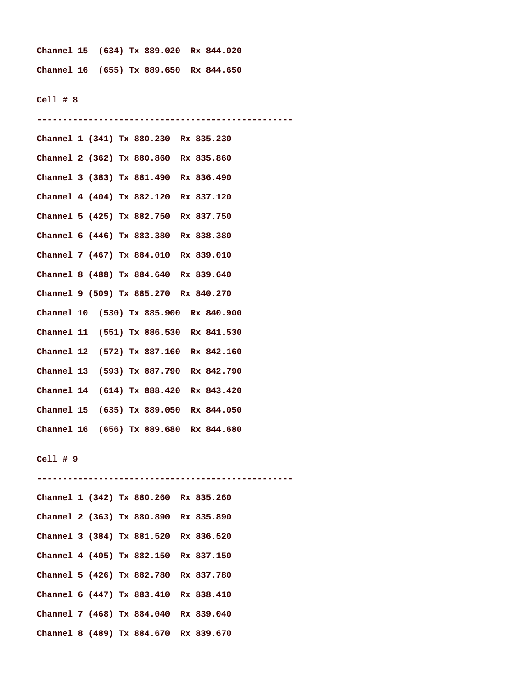**Channel 15 (634) Tx 889.020 Rx 844.020 Channel 16 (655) Tx 889.650 Rx 844.650** 

**--------------------------------------------------** 

#### **Cell # 8**

**Channel 1 (341) Tx 880.230 Rx 835.230 Channel 2 (362) Tx 880.860 Rx 835.860 Channel 3 (383) Tx 881.490 Rx 836.490 Channel 4 (404) Tx 882.120 Rx 837.120 Channel 5 (425) Tx 882.750 Rx 837.750 Channel 6 (446) Tx 883.380 Rx 838.380 Channel 7 (467) Tx 884.010 Rx 839.010 Channel 8 (488) Tx 884.640 Rx 839.640 Channel 9 (509) Tx 885.270 Rx 840.270 Channel 10 (530) Tx 885.900 Rx 840.900 Channel 11 (551) Tx 886.530 Rx 841.530 Channel 12 (572) Tx 887.160 Rx 842.160 Channel 13 (593) Tx 887.790 Rx 842.790 Channel 14 (614) Tx 888.420 Rx 843.420 Channel 15 (635) Tx 889.050 Rx 844.050 Channel 16 (656) Tx 889.680 Rx 844.680 Cell # 9 -------------------------------------------------- Channel 1 (342) Tx 880.260 Rx 835.260 Channel 2 (363) Tx 880.890 Rx 835.890 Channel 3 (384) Tx 881.520 Rx 836.520 Channel 4 (405) Tx 882.150 Rx 837.150 Channel 5 (426) Tx 882.780 Rx 837.780 Channel 6 (447) Tx 883.410 Rx 838.410 Channel 7 (468) Tx 884.040 Rx 839.040 Channel 8 (489) Tx 884.670 Rx 839.670**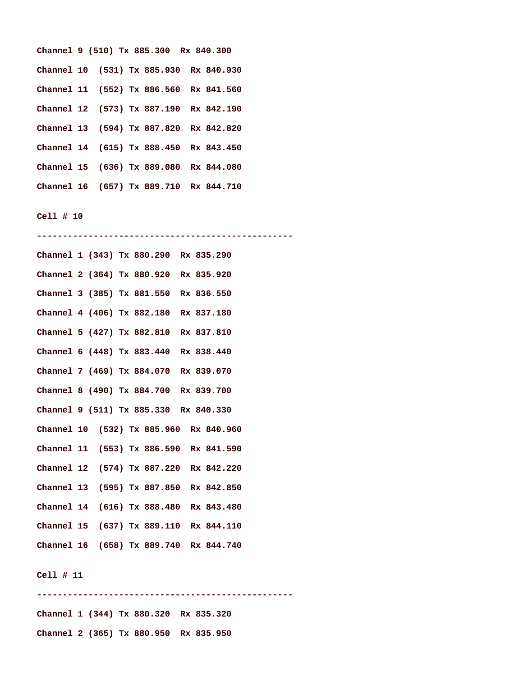|  |  | Channel 9 (510) Tx 885.300 Rx 840.300  |  |  |
|--|--|----------------------------------------|--|--|
|  |  | Channel 10 (531) Tx 885.930 Rx 840.930 |  |  |
|  |  | Channel 11 (552) Tx 886.560 Rx 841.560 |  |  |
|  |  | Channel 12 (573) Tx 887.190 Rx 842.190 |  |  |
|  |  | Channel 13 (594) Tx 887.820 Rx 842.820 |  |  |
|  |  | Channel 14 (615) Tx 888.450 Rx 843.450 |  |  |
|  |  | Channel 15 (636) Tx 889.080 Rx 844.080 |  |  |
|  |  | Channel 16 (657) Tx 889.710 Rx 844.710 |  |  |

**-------------------------------------------------- Channel 1 (343) Tx 880.290 Rx 835.290 Channel 2 (364) Tx 880.920 Rx 835.920 Channel 3 (385) Tx 881.550 Rx 836.550 Channel 4 (406) Tx 882.180 Rx 837.180 Channel 5 (427) Tx 882.810 Rx 837.810 Channel 6 (448) Tx 883.440 Rx 838.440 Channel 7 (469) Tx 884.070 Rx 839.070 Channel 8 (490) Tx 884.700 Rx 839.700 Channel 9 (511) Tx 885.330 Rx 840.330 Channel 10 (532) Tx 885.960 Rx 840.960 Channel 11 (553) Tx 886.590 Rx 841.590 Channel 12 (574) Tx 887.220 Rx 842.220 Channel 13 (595) Tx 887.850 Rx 842.850 Channel 14 (616) Tx 888.480 Rx 843.480 Channel 15 (637) Tx 889.110 Rx 844.110 Channel 16 (658) Tx 889.740 Rx 844.740** 

#### **Cell # 11**

**-------------------------------------------------- Channel 1 (344) Tx 880.320 Rx 835.320 Channel 2 (365) Tx 880.950 Rx 835.950**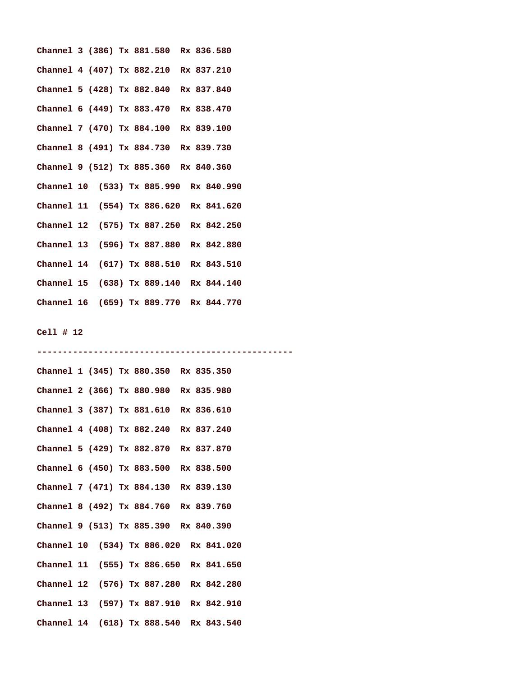| Channel 3 (386) Tx 881.580 Rx 836.580  |  |  |  |  |  |
|----------------------------------------|--|--|--|--|--|
| Channel 4 (407) Tx 882.210 Rx 837.210  |  |  |  |  |  |
| Channel 5 (428) Tx 882.840 Rx 837.840  |  |  |  |  |  |
| Channel 6 (449) Tx 883.470 Rx 838.470  |  |  |  |  |  |
| Channel 7 (470) Tx 884.100 Rx 839.100  |  |  |  |  |  |
| Channel 8 (491) Tx 884.730 Rx 839.730  |  |  |  |  |  |
| Channel 9 (512) Tx 885.360 Rx 840.360  |  |  |  |  |  |
| Channel 10 (533) Tx 885.990 Rx 840.990 |  |  |  |  |  |
| Channel 11 (554) Tx 886.620 Rx 841.620 |  |  |  |  |  |
| Channel 12 (575) Tx 887.250 Rx 842.250 |  |  |  |  |  |
| Channel 13 (596) Tx 887.880 Rx 842.880 |  |  |  |  |  |
| Channel 14 (617) Tx 888.510 Rx 843.510 |  |  |  |  |  |
| Channel 15 (638) Tx 889.140 Rx 844.140 |  |  |  |  |  |
| Channel 16 (659) Tx 889.770 Rx 844.770 |  |  |  |  |  |

| Channel 1 (345) Tx 880.350 Rx 835.350  |  |  |  |  |  |  |
|----------------------------------------|--|--|--|--|--|--|
| Channel 2 (366) Tx 880.980 Rx 835.980  |  |  |  |  |  |  |
| Channel 3 (387) Tx 881.610 Rx 836.610  |  |  |  |  |  |  |
| Channel 4 (408) Tx 882.240 Rx 837.240  |  |  |  |  |  |  |
| Channel 5 (429) Tx 882.870 Rx 837.870  |  |  |  |  |  |  |
| Channel 6 (450) Tx 883.500 Rx 838.500  |  |  |  |  |  |  |
| Channel 7 (471) Tx 884.130 Rx 839.130  |  |  |  |  |  |  |
| Channel 8 (492) Tx 884.760 Rx 839.760  |  |  |  |  |  |  |
| Channel 9 (513) Tx 885.390 Rx 840.390  |  |  |  |  |  |  |
| Channel 10 (534) Tx 886.020 Rx 841.020 |  |  |  |  |  |  |
| Channel 11 (555) Tx 886.650 Rx 841.650 |  |  |  |  |  |  |
| Channel 12 (576) Tx 887.280 Rx 842.280 |  |  |  |  |  |  |
| Channel 13 (597) Tx 887.910 Rx 842.910 |  |  |  |  |  |  |
| Channel 14 (618) Tx 888.540 Rx 843.540 |  |  |  |  |  |  |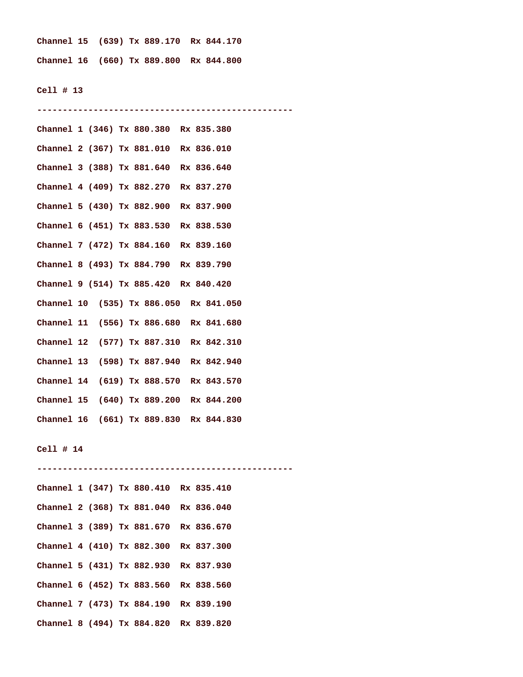**Channel 15 (639) Tx 889.170 Rx 844.170 Channel 16 (660) Tx 889.800 Rx 844.800** 

#### **Cell # 13**

**-------------------------------------------------- Channel 1 (346) Tx 880.380 Rx 835.380 Channel 2 (367) Tx 881.010 Rx 836.010 Channel 3 (388) Tx 881.640 Rx 836.640 Channel 4 (409) Tx 882.270 Rx 837.270 Channel 5 (430) Tx 882.900 Rx 837.900 Channel 6 (451) Tx 883.530 Rx 838.530 Channel 7 (472) Tx 884.160 Rx 839.160 Channel 8 (493) Tx 884.790 Rx 839.790 Channel 9 (514) Tx 885.420 Rx 840.420 Channel 10 (535) Tx 886.050 Rx 841.050 Channel 11 (556) Tx 886.680 Rx 841.680 Channel 12 (577) Tx 887.310 Rx 842.310 Channel 13 (598) Tx 887.940 Rx 842.940 Channel 14 (619) Tx 888.570 Rx 843.570 Channel 15 (640) Tx 889.200 Rx 844.200 Channel 16 (661) Tx 889.830 Rx 844.830 Cell # 14 -------------------------------------------------- Channel 1 (347) Tx 880.410 Rx 835.410 Channel 2 (368) Tx 881.040 Rx 836.040** 

**Channel 3 (389) Tx 881.670 Rx 836.670 Channel 4 (410) Tx 882.300 Rx 837.300 Channel 5 (431) Tx 882.930 Rx 837.930 Channel 6 (452) Tx 883.560 Rx 838.560 Channel 7 (473) Tx 884.190 Rx 839.190 Channel 8 (494) Tx 884.820 Rx 839.820**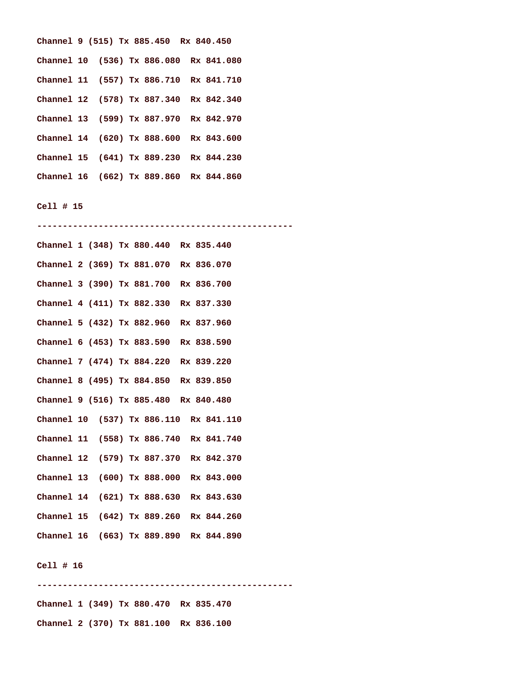|  |  | Channel 9 (515) Tx 885.450 Rx 840.450  |  |
|--|--|----------------------------------------|--|
|  |  | Channel 10 (536) Tx 886.080 Rx 841.080 |  |
|  |  | Channel 11 (557) Tx 886.710 Rx 841.710 |  |
|  |  | Channel 12 (578) Tx 887.340 Rx 842.340 |  |
|  |  | Channel 13 (599) Tx 887.970 Rx 842.970 |  |
|  |  | Channel 14 (620) Tx 888.600 Rx 843.600 |  |
|  |  | Channel 15 (641) Tx 889.230 Rx 844.230 |  |
|  |  | Channel 16 (662) Tx 889.860 Rx 844.860 |  |

**-------------------------------------------------- Channel 1 (348) Tx 880.440 Rx 835.440 Channel 2 (369) Tx 881.070 Rx 836.070 Channel 3 (390) Tx 881.700 Rx 836.700 Channel 4 (411) Tx 882.330 Rx 837.330 Channel 5 (432) Tx 882.960 Rx 837.960 Channel 6 (453) Tx 883.590 Rx 838.590 Channel 7 (474) Tx 884.220 Rx 839.220 Channel 8 (495) Tx 884.850 Rx 839.850 Channel 9 (516) Tx 885.480 Rx 840.480 Channel 10 (537) Tx 886.110 Rx 841.110 Channel 11 (558) Tx 886.740 Rx 841.740 Channel 12 (579) Tx 887.370 Rx 842.370 Channel 13 (600) Tx 888.000 Rx 843.000 Channel 14 (621) Tx 888.630 Rx 843.630 Channel 15 (642) Tx 889.260 Rx 844.260 Channel 16 (663) Tx 889.890 Rx 844.890** 

### **Cell # 16**

**-------------------------------------------------- Channel 1 (349) Tx 880.470 Rx 835.470 Channel 2 (370) Tx 881.100 Rx 836.100**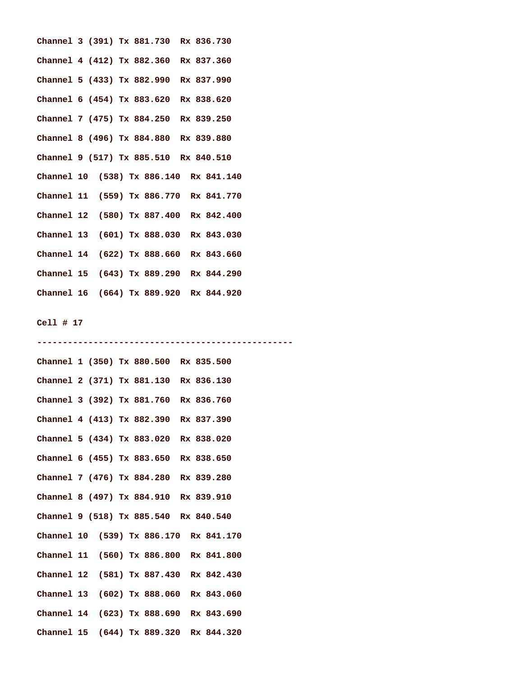| Channel 3 (391) Tx 881.730 Rx 836.730  |  |  |  |  |  |
|----------------------------------------|--|--|--|--|--|
| Channel 4 (412) Tx 882.360 Rx 837.360  |  |  |  |  |  |
| Channel 5 (433) Tx 882.990 Rx 837.990  |  |  |  |  |  |
| Channel 6 (454) Tx 883.620 Rx 838.620  |  |  |  |  |  |
| Channel 7 (475) Tx 884.250 Rx 839.250  |  |  |  |  |  |
| Channel 8 (496) Tx 884.880 Rx 839.880  |  |  |  |  |  |
| Channel 9 (517) Tx 885.510 Rx 840.510  |  |  |  |  |  |
| Channel 10 (538) Tx 886.140 Rx 841.140 |  |  |  |  |  |
| Channel 11 (559) Tx 886.770 Rx 841.770 |  |  |  |  |  |
| Channel 12 (580) Tx 887.400 Rx 842.400 |  |  |  |  |  |
| Channel 13 (601) Tx 888.030 Rx 843.030 |  |  |  |  |  |
| Channel 14 (622) Tx 888.660 Rx 843.660 |  |  |  |  |  |
| Channel 15 (643) Tx 889.290 Rx 844.290 |  |  |  |  |  |
| Channel 16 (664) Tx 889.920 Rx 844.920 |  |  |  |  |  |

| Channel 1 (350) Tx 880.500 Rx 835.500  |
|----------------------------------------|
| Channel 2 (371) Tx 881.130 Rx 836.130  |
| Channel 3 (392) Tx 881.760 Rx 836.760  |
| Channel 4 (413) Tx 882.390 Rx 837.390  |
| Channel 5 (434) Tx 883.020 Rx 838.020  |
| Channel 6 (455) Tx 883.650 Rx 838.650  |
| Channel 7 (476) Tx 884.280 Rx 839.280  |
| Channel 8 (497) Tx 884.910 Rx 839.910  |
| Channel 9 (518) Tx 885.540 Rx 840.540  |
| Channel 10 (539) Tx 886.170 Rx 841.170 |
| Channel 11 (560) Tx 886.800 Rx 841.800 |
| Channel 12 (581) Tx 887.430 Rx 842.430 |
| Channel 13 (602) Tx 888.060 Rx 843.060 |
| Channel 14 (623) Tx 888.690 Rx 843.690 |
| Channel 15 (644) Tx 889.320 Rx 844.320 |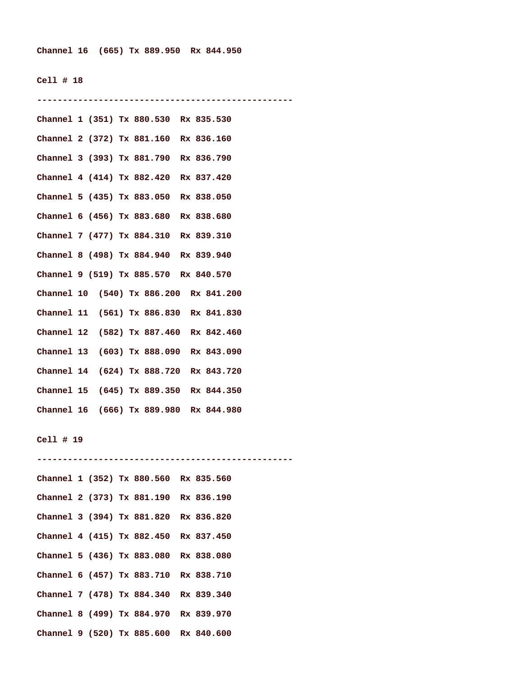**Channel 16 (665) Tx 889.950 Rx 844.950** 

#### **Cell # 18**

**--------------------------------------------------** 

| Channel 1 (351) Tx 880.530 Rx 835.530  |  |
|----------------------------------------|--|
| Channel 2 (372) Tx 881.160 Rx 836.160  |  |
| Channel 3 (393) Tx 881.790 Rx 836.790  |  |
| Channel 4 (414) Tx 882.420 Rx 837.420  |  |
| Channel 5 (435) Tx 883.050 Rx 838.050  |  |
| Channel 6 (456) Tx 883.680 Rx 838.680  |  |
| Channel 7 (477) Tx 884.310 Rx 839.310  |  |
| Channel 8 (498) Tx 884.940 Rx 839.940  |  |
| Channel 9 (519) Tx 885.570 Rx 840.570  |  |
| Channel 10 (540) Tx 886.200 Rx 841.200 |  |
| Channel 11 (561) Tx 886.830 Rx 841.830 |  |
| Channel 12 (582) Tx 887.460 Rx 842.460 |  |
| Channel 13 (603) Tx 888.090 Rx 843.090 |  |
| Channel 14 (624) Tx 888.720 Rx 843.720 |  |
| Channel 15 (645) Tx 889.350 Rx 844.350 |  |
| Channel 16 (666) Tx 889.980 Rx 844.980 |  |

#### **Cell # 19**

**-------------------------------------------------- Channel 1 (352) Tx 880.560 Rx 835.560 Channel 2 (373) Tx 881.190 Rx 836.190 Channel 3 (394) Tx 881.820 Rx 836.820 Channel 4 (415) Tx 882.450 Rx 837.450 Channel 5 (436) Tx 883.080 Rx 838.080 Channel 6 (457) Tx 883.710 Rx 838.710 Channel 7 (478) Tx 884.340 Rx 839.340 Channel 8 (499) Tx 884.970 Rx 839.970 Channel 9 (520) Tx 885.600 Rx 840.600**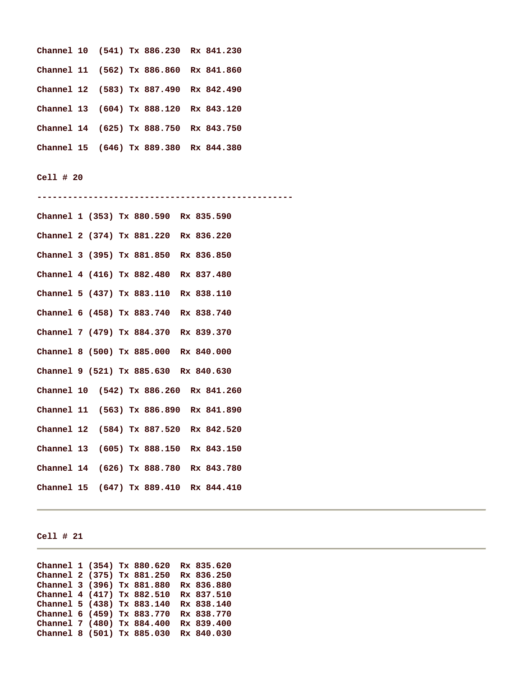|  |  | Channel 10 (541) Tx 886.230 Rx 841.230 |  |
|--|--|----------------------------------------|--|
|  |  | Channel 11 (562) Tx 886.860 Rx 841.860 |  |
|  |  | Channel 12 (583) Tx 887.490 Rx 842.490 |  |
|  |  | Channel 13 (604) Tx 888.120 Rx 843.120 |  |
|  |  | Channel 14 (625) Tx 888.750 Rx 843.750 |  |
|  |  | Channel 15 (646) Tx 889.380 Rx 844.380 |  |

**-------------------------------------------------- Channel 1 (353) Tx 880.590 Rx 835.590 Channel 2 (374) Tx 881.220 Rx 836.220 Channel 3 (395) Tx 881.850 Rx 836.850 Channel 4 (416) Tx 882.480 Rx 837.480 Channel 5 (437) Tx 883.110 Rx 838.110 Channel 6 (458) Tx 883.740 Rx 838.740 Channel 7 (479) Tx 884.370 Rx 839.370 Channel 8 (500) Tx 885.000 Rx 840.000 Channel 9 (521) Tx 885.630 Rx 840.630 Channel 10 (542) Tx 886.260 Rx 841.260 Channel 11 (563) Tx 886.890 Rx 841.890 Channel 12 (584) Tx 887.520 Rx 842.520 Channel 13 (605) Tx 888.150 Rx 843.150 Channel 14 (626) Tx 888.780 Rx 843.780 Channel 15 (647) Tx 889.410 Rx 844.410** 

## **Cell # 21**

| Channel 1 (354) Tx 880.620 |  |  | Rx 835.620 |
|----------------------------|--|--|------------|
| Channel 2 (375) Tx 881.250 |  |  | Rx 836.250 |
| Channel 3 (396) Tx 881.880 |  |  | Rx 836.880 |
| Channel 4 (417) Tx 882.510 |  |  | Rx 837.510 |
| Channel 5 (438) Tx 883.140 |  |  | Rx 838.140 |
| Channel 6 (459) Tx 883.770 |  |  | Rx 838.770 |
| Channel 7 (480) Tx 884.400 |  |  | Rx 839.400 |
| Channel 8 (501) Tx 885.030 |  |  | Rx 840.030 |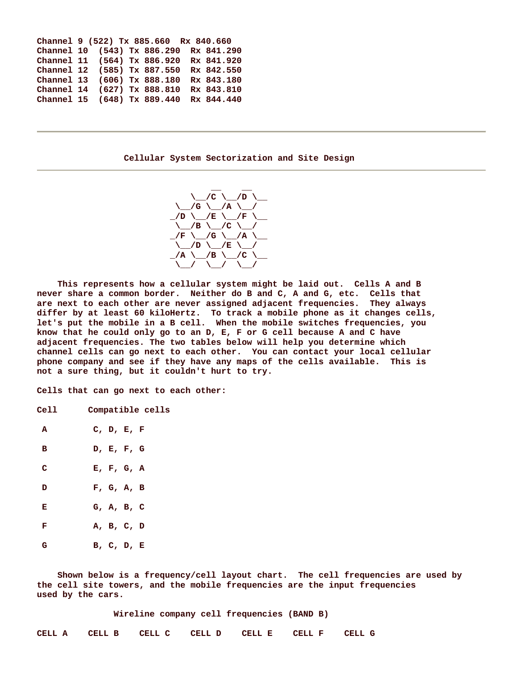| Channel 9 (522) Tx 885.660 Rx 840.660  |  |  |            |
|----------------------------------------|--|--|------------|
| Channel 10 (543) Tx 886.290 Rx 841.290 |  |  |            |
| Channel 11 (564) Tx 886.920            |  |  | Rx 841.920 |
| Channel 12 (585) Tx 887.550            |  |  | Rx 842.550 |
| Channel 13 (606) Tx 888.180            |  |  | Rx 843.180 |
| Channel 14 (627) Tx 888.810            |  |  | Rx 843.810 |
| Channel 15 (648) Tx 889.440            |  |  | Rx 844.440 |

 **Cellular System Sectorization and Site Design** 



 **This represents how a cellular system might be laid out. Cells A and B never share a common border. Neither do B and C, A and G, etc. Cells that are next to each other are never assigned adjacent frequencies. They always differ by at least 60 kiloHertz. To track a mobile phone as it changes cells, let's put the mobile in a B cell. When the mobile switches frequencies, you know that he could only go to an D, E, F or G cell because A and C have adjacent frequencies. The two tables below will help you determine which channel cells can go next to each other. You can contact your local cellular phone company and see if they have any maps of the cells available. This is not a sure thing, but it couldn't hurt to try.** 

**Cells that can go next to each other:** 

| Cell | Compatible cells |  |
|------|------------------|--|
|------|------------------|--|

- **A C, D, E, F**
- **B D, E, F, G**
- **C E, F, G, A**
- **D F, G, A, B**
- **E G, A, B, C F** A, B, C, D  **G B, C, D, E**

 **Shown below is a frequency/cell layout chart. The cell frequencies are used by the cell site towers, and the mobile frequencies are the input frequencies used by the cars.** 

 **Wireline company cell frequencies (BAND B)** 

| CELL A CELL B CELL C CELL D CELL E CELL F CELL G |  |  |  |  |  |  |  |
|--------------------------------------------------|--|--|--|--|--|--|--|
|--------------------------------------------------|--|--|--|--|--|--|--|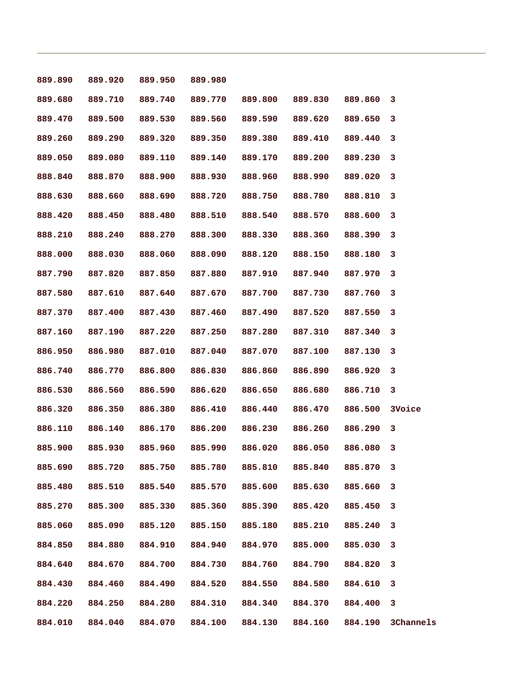| 889.890 | 889.920 | 889.950 | 889.980 |         |                 |         |           |
|---------|---------|---------|---------|---------|-----------------|---------|-----------|
| 889.680 | 889.710 | 889.740 | 889.770 | 889.800 | 889.830 889.860 |         | 3         |
| 889.470 | 889.500 | 889.530 | 889.560 | 889.590 | 889.620         | 889.650 | 3         |
| 889.260 | 889.290 | 889.320 | 889.350 | 889.380 | 889.410         | 889.440 | 3         |
| 889.050 | 889.080 | 889.110 | 889.140 | 889.170 | 889.200         | 889.230 | 3         |
| 888.840 | 888.870 | 888.900 | 888.930 | 888.960 | 888.990         | 889.020 | 3         |
| 888.630 | 888.660 | 888.690 | 888.720 | 888.750 | 888.780         | 888.810 | 3         |
| 888.420 | 888.450 | 888.480 | 888.510 | 888.540 | 888.570         | 888.600 | 3         |
| 888.210 | 888.240 | 888.270 | 888.300 | 888.330 | 888.360         | 888.390 | 3         |
| 888.000 | 888.030 | 888.060 | 888.090 | 888.120 | 888.150         | 888.180 | 3         |
| 887.790 | 887.820 | 887.850 | 887.880 | 887.910 | 887.940         | 887.970 | 3         |
| 887.580 | 887.610 | 887.640 | 887.670 | 887.700 | 887.730         | 887.760 | 3         |
| 887.370 | 887.400 | 887.430 | 887.460 | 887.490 | 887.520         | 887.550 | 3         |
| 887.160 | 887.190 | 887.220 | 887.250 | 887.280 | 887.310         | 887.340 | 3         |
| 886.950 | 886.980 | 887.010 | 887.040 | 887.070 | 887.100         | 887.130 | 3         |
| 886.740 | 886.770 | 886.800 | 886.830 | 886.860 | 886.890         | 886.920 | 3         |
| 886.530 | 886.560 | 886.590 | 886.620 | 886.650 | 886.680         | 886.710 | 3         |
| 886.320 | 886.350 | 886.380 | 886.410 | 886.440 | 886.470         | 886.500 | 3Voice    |
| 886.110 | 886.140 | 886.170 | 886.200 | 886.230 | 886.260         | 886.290 | 3         |
| 885.900 | 885.930 | 885.960 | 885.990 | 886.020 | 886.050         | 886.080 | 3         |
| 885.690 | 885.720 | 885.750 | 885.780 | 885.810 | 885.840         | 885.870 | 3         |
| 885.480 | 885.510 | 885.540 | 885.570 | 885.600 | 885.630         | 885.660 | 3         |
| 885.270 | 885.300 | 885.330 | 885.360 | 885.390 | 885.420         | 885.450 | 3         |
| 885.060 | 885.090 | 885.120 | 885.150 | 885.180 | 885.210         | 885.240 | 3         |
| 884.850 | 884.880 | 884.910 | 884.940 | 884.970 | 885.000         | 885.030 | 3         |
| 884.640 | 884.670 | 884.700 | 884.730 | 884.760 | 884.790         | 884.820 | 3         |
| 884.430 | 884.460 | 884.490 | 884.520 | 884.550 | 884.580         | 884.610 | 3         |
| 884.220 | 884.250 | 884.280 | 884.310 | 884.340 | 884.370         | 884.400 | 3         |
| 884.010 | 884.040 | 884.070 | 884.100 | 884.130 | 884.160         | 884.190 | 3Channels |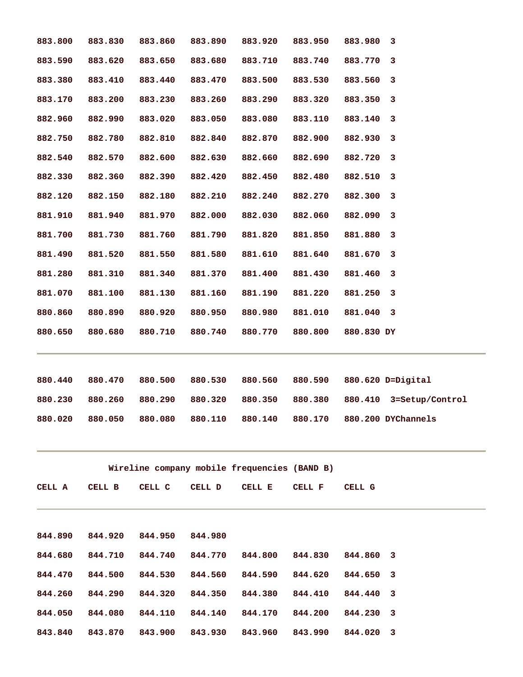| 883.800 | 883.830         | 883.860 | 883.890 | 883.920                                      | 883.950 | 883.980 3  |                                            |
|---------|-----------------|---------|---------|----------------------------------------------|---------|------------|--------------------------------------------|
| 883.590 | 883.620         | 883.650 | 883.680 | 883.710                                      | 883.740 | 883.770    | 3                                          |
| 883.380 | 883.410         | 883.440 | 883.470 | 883.500                                      | 883.530 | 883.560    | 3                                          |
| 883.170 | 883.200         | 883.230 | 883.260 | 883.290                                      | 883.320 | 883.350    | 3                                          |
| 882.960 | 882.990         | 883.020 | 883.050 | 883.080                                      | 883.110 | 883.140    | 3                                          |
| 882.750 | 882.780         | 882.810 | 882.840 | 882.870                                      | 882.900 | 882.930    | 3                                          |
| 882.540 | 882.570         | 882.600 | 882.630 | 882.660                                      | 882.690 | 882.720    | 3                                          |
| 882.330 | 882.360         | 882.390 | 882.420 | 882.450                                      | 882.480 | 882.510 3  |                                            |
| 882.120 | 882.150         | 882.180 | 882.210 | 882.240                                      | 882.270 | 882.300 3  |                                            |
| 881.910 | 881.940         | 881.970 | 882.000 | 882.030                                      | 882.060 | 882.090    | 3                                          |
| 881.700 | 881.730         | 881.760 | 881.790 | 881.820                                      | 881.850 | 881.880    | 3                                          |
| 881.490 | 881.520         | 881.550 | 881.580 | 881.610                                      | 881.640 | 881.670    | 3                                          |
| 881.280 | 881.310         | 881.340 | 881.370 | 881.400                                      | 881.430 | 881.460    | 3                                          |
| 881.070 | 881.100         | 881.130 | 881.160 | 881.190                                      | 881.220 | 881.250    | 3                                          |
| 880.860 | 880.890         | 880.920 | 880.950 | 880.980                                      | 881.010 | 881.040 3  |                                            |
| 880.650 | 880.680         | 880.710 | 880.740 | 880.770                                      | 880.800 | 880.830 DY |                                            |
|         |                 |         |         |                                              |         |            |                                            |
| 880.440 | 880.470         | 880.500 | 880.530 | 880.560                                      |         |            | 880.590 880.620 D=Digital                  |
| 880.230 | 880.260         | 880.290 | 880.320 | 880.350                                      | 880.380 |            | 880.410 3=Setup/Control                    |
| 880.020 | 880.050 880.080 |         |         |                                              |         |            | 880.110 880.140 880.170 880.200 DYChannels |
|         |                 |         |         | Wireline company mobile frequencies (BAND B) |         |            |                                            |
| CELL A  | CELL B          | CELL C  | CELL D  | CELL E                                       | CELL F  | CELL G     |                                            |
|         |                 |         |         |                                              |         |            |                                            |
| 844.890 | 844.920         | 844.950 | 844.980 |                                              |         |            |                                            |
| 844.680 | 844.710         | 844.740 | 844.770 | 844.800                                      | 844.830 | 844.860    | 3                                          |
| 844.470 | 844.500         | 844.530 | 844.560 | 844.590                                      | 844.620 | 844.650    | 3                                          |
| 844.260 | 844.290         | 844.320 | 844.350 | 844.380                                      | 844.410 | 844.440    | 3                                          |
| 844.050 | 844.080         | 844.110 | 844.140 | 844.170                                      | 844.200 | 844.230    | 3                                          |
| 843.840 | 843.870         | 843.900 | 843.930 | 843.960                                      | 843.990 | 844.020    | 3                                          |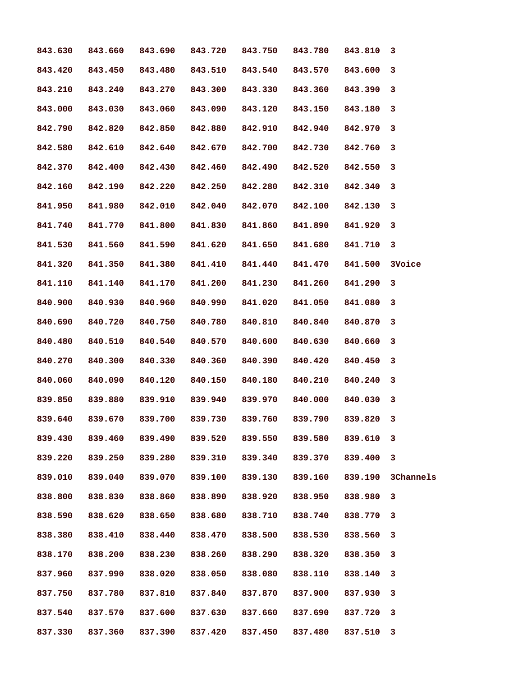| 843.630 | 843.660 | 843.690 | 843.720         | 843.750 | 843.780                         | 843.810 | 3         |
|---------|---------|---------|-----------------|---------|---------------------------------|---------|-----------|
| 843.420 | 843.450 | 843.480 | 843.510         | 843.540 | 843.570                         | 843.600 | 3         |
| 843.210 | 843.240 | 843.270 | 843.300         | 843.330 | 843.360                         | 843.390 | 3         |
| 843.000 | 843.030 | 843.060 | 843.090         | 843.120 | 843.150                         | 843.180 | 3         |
| 842.790 | 842.820 | 842.850 | 842.880         | 842.910 | 842.940                         | 842.970 | 3         |
| 842.580 | 842.610 | 842.640 | 842.670         | 842.700 | 842.730 842.760                 |         | 3         |
| 842.370 | 842.400 | 842.430 |                 |         | 842.460 842.490 842.520 842.550 |         | 3         |
| 842.160 | 842.190 | 842.220 |                 |         | 842.250 842.280 842.310 842.340 |         | 3         |
| 841.950 | 841.980 | 842.010 | 842.040         | 842.070 | 842.100                         | 842.130 | 3         |
| 841.740 | 841.770 | 841.800 | 841.830         | 841.860 | 841.890                         | 841.920 | 3         |
| 841.530 | 841.560 | 841.590 | 841.620         | 841.650 | 841.680                         | 841.710 | 3         |
| 841.320 | 841.350 | 841.380 | 841.410         | 841.440 | 841.470                         | 841.500 | 3Voice    |
| 841.110 | 841.140 | 841.170 | 841.200         | 841.230 | 841.260                         | 841.290 | 3         |
| 840.900 | 840.930 | 840.960 | 840.990         | 841.020 | 841.050                         | 841.080 | 3         |
| 840.690 | 840.720 | 840.750 | 840.780         | 840.810 | 840.840                         | 840.870 | 3         |
| 840.480 | 840.510 | 840.540 | 840.570         | 840.600 | 840.630                         | 840.660 | 3         |
| 840.270 | 840.300 | 840.330 | 840.360         | 840.390 | 840.420                         | 840.450 | 3         |
| 840.060 | 840.090 | 840.120 | 840.150         | 840.180 | 840.210                         | 840.240 | 3         |
| 839.850 | 839.880 | 839.910 | 839.940         | 839.970 | 840.000                         | 840.030 | 3         |
| 839.640 | 839.670 | 839.700 | 839.730         | 839.760 | 839.790                         | 839.820 | 3         |
| 839.430 | 839.460 | 839.490 | 839.520 839.550 |         | 839.580                         | 839.610 | 3         |
| 839.220 | 839.250 | 839.280 | 839.310         | 839.340 | 839.370 839.400                 |         | 3         |
| 839.010 | 839.040 | 839.070 | 839.100         | 839.130 | 839.160                         | 839.190 | 3Channels |
| 838.800 | 838.830 | 838.860 | 838.890         | 838.920 | 838.950                         | 838.980 | 3         |
| 838.590 | 838.620 | 838.650 | 838.680         | 838.710 | 838.740                         | 838.770 | 3         |
| 838.380 | 838.410 | 838.440 | 838.470         | 838.500 | 838.530                         | 838.560 | 3         |
| 838.170 | 838.200 | 838.230 | 838.260         | 838.290 | 838.320                         | 838.350 | 3         |
| 837.960 | 837.990 | 838.020 | 838.050         | 838.080 | 838.110                         | 838.140 | 3         |
| 837.750 | 837.780 | 837.810 | 837.840         | 837.870 | 837.900                         | 837.930 | 3         |
| 837.540 | 837.570 | 837.600 | 837.630         | 837.660 | 837.690                         | 837.720 | 3         |
| 837.330 | 837.360 | 837.390 | 837.420         | 837.450 | 837.480                         | 837.510 | 3         |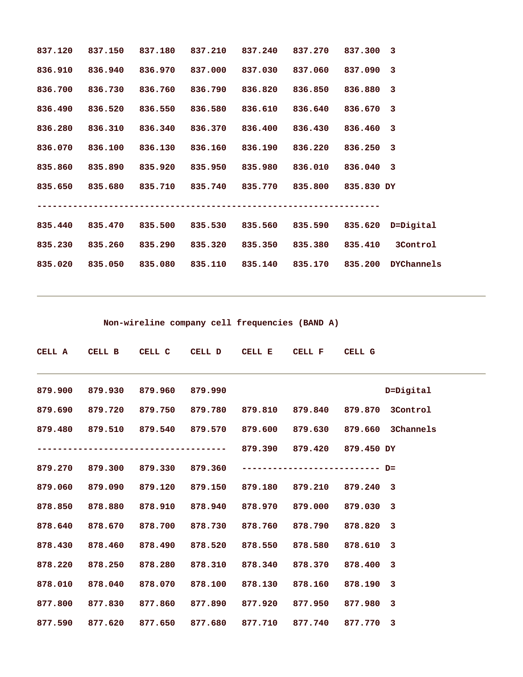| 837.120 | 837.150         | 837.180 | 837.210 | 837.240         | 837.270 | 837.300 3  |                   |
|---------|-----------------|---------|---------|-----------------|---------|------------|-------------------|
| 836.910 | 836.940         | 836.970 | 837.000 | 837.030         | 837.060 | 837.090 3  |                   |
| 836,700 | 836.730         | 836.760 | 836.790 | 836.820         | 836.850 | 836.880 3  |                   |
| 836.490 | 836.520         | 836.550 | 836.580 | 836.610         | 836.640 | 836.670 3  |                   |
| 836.280 | 836.310         | 836.340 | 836.370 | 836.400         | 836.430 | 836.460 3  |                   |
| 836.070 | 836.100         | 836.130 | 836.160 | 836.190         | 836.220 | 836.250 3  |                   |
| 835,860 | 835.890         | 835.920 | 835.950 | 835.980         | 836.010 | 836.040 3  |                   |
| 835.650 | 835.680 835.710 |         | 835.740 | 835.770 835.800 |         | 835.830 DY |                   |
|         |                 |         |         |                 |         |            |                   |
| 835.440 |                 |         |         |                 |         |            | 835.620 D=Digital |
| 835.230 | 835.260         | 835.290 | 835.320 | 835.350         | 835.380 | 835.410    | 3Control          |
| 835.020 | 835.050         | 835.080 | 835.110 | 835.140         | 835.170 | 835.200    | <b>DYChannels</b> |

 **Non-wireline company cell frequencies (BAND A)** 

|         |                                 |         | CELL A CELL B CELL C CELL D CELL E                               | CELL F CELL G |           |                                                                          |
|---------|---------------------------------|---------|------------------------------------------------------------------|---------------|-----------|--------------------------------------------------------------------------|
| 879.900 | 879.930 879.960 879.990         |         |                                                                  |               |           | D=Digital                                                                |
| 879.690 |                                 |         | 879.720 879.750 879.780 879.810 879.840 879.870 3Control         |               |           |                                                                          |
|         |                                 |         |                                                                  |               |           | 879.480  879.510  879.540  879.570  879.600  879.630  879.660  3Channels |
|         |                                 |         |                                                                  |               |           |                                                                          |
|         | 879.270 879.300 879.330 879.360 |         |                                                                  |               |           |                                                                          |
| 879.060 |                                 |         | 879.090  879.120  879.150  879.180  879.210  879.240  3          |               |           |                                                                          |
| 878.850 |                                 |         |                                                                  |               | 879.030 3 |                                                                          |
| 878.640 |                                 |         | 878.670 878.700 878.730 878.760 878.790                          |               | 878.820 3 |                                                                          |
| 878.430 | 878.460 878.490                 | 878.520 | 878.550                                                          | 878.580       | 878.610 3 |                                                                          |
| 878.220 |                                 |         |                                                                  |               |           |                                                                          |
| 878.010 |                                 |         | 878.040 878.070 878.100 878.130                                  | 878.160       | 878.190 3 |                                                                          |
| 877.800 |                                 |         | 877.830 877.860 877.890 877.920 877.950 877.980 3                |               |           |                                                                          |
|         |                                 |         | 877.590  877.620  877.650  877.680  877.710  877.740  877.770  3 |               |           |                                                                          |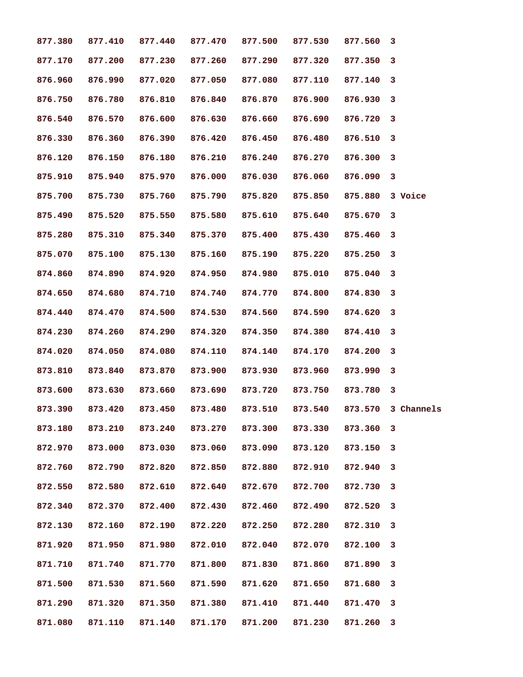| 877.380         | 877.410 | 877.440                         | 877.470         | 877.500 | 877.530                 | 877.560   | 3          |
|-----------------|---------|---------------------------------|-----------------|---------|-------------------------|-----------|------------|
| 877.170         | 877.200 | 877.230                         | 877.260         | 877.290 | 877.320                 | 877.350   | 3          |
| 876.960         | 876.990 | 877.020                         | 877.050         | 877.080 | 877.110                 | 877.140   | 3          |
| 876.750         | 876.780 | 876.810                         | 876.840         | 876.870 | 876.900                 | 876.930   | 3          |
| 876.540         | 876.570 | 876.600                         | 876.630         | 876.660 | 876.690                 | 876.720   | 3          |
| 876.330         | 876.360 | 876.390                         | 876.420         | 876.450 | 876.480                 | 876.510   | 3          |
| 876.120         | 876.150 | 876.180                         | 876.210 876.240 |         | 876.270                 | 876.300   | 3          |
| 875.910         | 875.940 | 875.970                         | 876.000         | 876.030 | 876.060                 | 876.090   | 3          |
| 875.700         | 875.730 | 875.760                         | 875.790         | 875.820 | 875.850                 | 875.880   | 3 Voice    |
| 875.490         | 875.520 | 875.550                         | 875.580         | 875.610 | 875.640                 | 875.670   | 3          |
| 875.280         | 875.310 | 875.340                         | 875.370         | 875.400 | 875.430                 | 875.460   | 3          |
| 875.070         | 875.100 | 875.130                         | 875.160         | 875.190 | 875.220                 | 875.250   | 3          |
| 874.860         | 874.890 | 874.920                         | 874.950         | 874.980 | 875.010                 | 875.040   | 3          |
| 874.650         | 874.680 | 874.710                         | 874.740         | 874.770 | 874.800                 | 874.830   | 3          |
| 874.440         | 874.470 | 874.500                         | 874.530         | 874.560 | 874.590                 | 874.620   | 3          |
| 874.230         | 874.260 | 874.290                         | 874.320         | 874.350 | 874.380                 | 874.410   | 3          |
| 874.020         | 874.050 | 874.080                         | 874.110         | 874.140 | 874.170                 | 874.200   | 3          |
| 873.810         | 873.840 | 873.870                         | 873.900         | 873.930 | 873.960                 | 873.990   | 3          |
| 873.600         | 873.630 | 873.660                         | 873.690         | 873.720 | 873.750                 | 873.780   | 3          |
| 873.390         | 873.420 | 873.450                         | 873.480         |         | 873.510 873.540 873.570 |           | 3 Channels |
| 873.180 873.210 |         | 873.240 873.270 873.300 873.330 |                 |         |                         | 873.360 3 |            |
| 872.970         | 873.000 | 873.030                         | 873.060         | 873.090 | 873.120                 | 873.150   | 3          |
| 872.760         | 872.790 | 872.820                         | 872.850         | 872.880 | 872.910                 | 872.940   | 3          |
| 872.550         | 872.580 | 872.610                         | 872.640         | 872.670 | 872.700                 | 872.730   | 3          |
| 872.340         | 872.370 | 872.400                         | 872.430         | 872.460 | 872.490                 | 872.520   | 3          |
| 872.130         | 872.160 | 872.190                         | 872.220         | 872.250 | 872.280                 | 872.310   | 3          |
| 871.920         | 871.950 | 871.980                         | 872.010         | 872.040 | 872.070                 | 872.100   | 3          |
| 871.710         | 871.740 | 871.770                         | 871.800         | 871.830 | 871.860                 | 871.890   | 3          |
| 871.500         | 871.530 | 871.560                         | 871.590         | 871.620 | 871.650                 | 871.680   | 3          |
| 871.290         | 871.320 | 871.350                         | 871.380         | 871.410 | 871.440                 | 871.470   | 3          |
| 871.080         | 871.110 | 871.140                         | 871.170         | 871.200 | 871.230                 | 871.260   | 3          |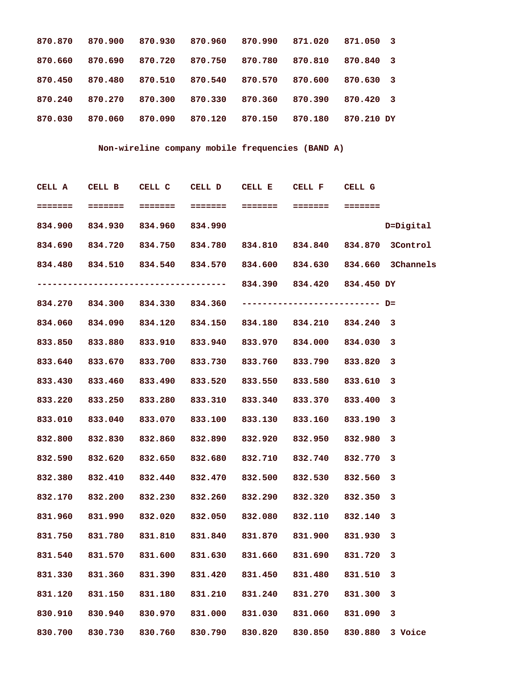| 870.870 | 870.900 | 870.930 | 870.960 | 870.990 | 871.020 | 871.050    | - 3                     |
|---------|---------|---------|---------|---------|---------|------------|-------------------------|
| 870.660 | 870.690 | 870.720 | 870.750 | 870.780 | 870.810 | 870.840    | $\overline{\mathbf{3}}$ |
| 870.450 | 870.480 | 870.510 | 870.540 | 870.570 | 870.600 | 870.630    | $\overline{\mathbf{3}}$ |
| 870.240 | 870.270 | 870,300 | 870.330 | 870.360 | 870.390 | 870.420    | $\overline{\mathbf{3}}$ |
| 870.030 | 870.060 | 870,090 | 870.120 | 870.150 | 870.180 | 870.210 DY |                         |

# **Non-wireline company mobile frequencies (BAND A)**

| CELL A  | CELL B CELL C CELL D CELL E CELL F CELL G                                |         |         |         |                                         |         |           |
|---------|--------------------------------------------------------------------------|---------|---------|---------|-----------------------------------------|---------|-----------|
|         |                                                                          |         |         |         |                                         |         |           |
| 834.900 | 834.930 834.960 834.990                                                  |         |         |         |                                         |         | D=Digital |
|         | 834.690 834.720 834.750 834.780 834.810 834.840 834.870 3Control         |         |         |         |                                         |         |           |
|         | 834.480  834.510  834.540  834.570  834.600  834.630  834.660  3Channels |         |         |         |                                         |         |           |
|         |                                                                          |         |         |         |                                         |         |           |
|         |                                                                          |         |         |         |                                         |         |           |
| 834.060 | 834.090 834.120 834.150 834.180 834.210 834.240 3                        |         |         |         |                                         |         |           |
| 833.850 | 833.880 833.910 833.940 833.970 834.000 834.030                          |         |         |         |                                         |         | 3         |
| 833.640 | 833.670 833.700 833.730 833.760 833.790 833.820                          |         |         |         |                                         |         | 3         |
| 833.430 | 833.460 833.490 833.520 833.550 833.580 833.610                          |         |         |         |                                         |         | 3         |
| 833.220 | 833.250 833.280 833.310 833.340 833.370 833.400                          |         |         |         |                                         |         | 3         |
| 833.010 | 833.040 833.070 833.100 833.130 833.160 833.190                          |         |         |         |                                         |         | 3         |
| 832.800 | 832.830 832.860                                                          |         |         |         | 832.890 832.920 832.950 832.980         |         | 3         |
| 832.590 | 832.620 832.650                                                          |         |         |         | 832.680 832.710 832.740 832.770         |         | 3         |
| 832.380 | 832.410 832.440                                                          |         |         |         | 832.470 832.500 832.530 832.560         |         | 3         |
| 832.170 | 832.200 832.230 832.260 832.290 832.320 832.350                          |         |         |         |                                         |         | 3         |
| 831.960 | 831.990                                                                  |         |         |         | 832.020 832.050 832.080 832.110 832.140 |         | 3         |
| 831.750 | 831.780 831.810 831.840 831.870 831.900 831.930 3                        |         |         |         |                                         |         |           |
|         | 831.540 831.570 831.600 831.630 831.660 831.690 831.720 3                |         |         |         |                                         |         |           |
| 831.330 | 831.360                                                                  | 831.390 | 831.420 | 831.450 | 831.480                                 | 831.510 | 3         |
| 831.120 | 831.150                                                                  | 831.180 | 831.210 | 831.240 | 831.270                                 | 831.300 | 3         |
| 830.910 | 830.940                                                                  | 830.970 | 831.000 | 831.030 | 831.060                                 | 831.090 | 3         |
| 830.700 | 830.730                                                                  | 830.760 | 830.790 | 830.820 | 830.850                                 | 830.880 | 3 Voice   |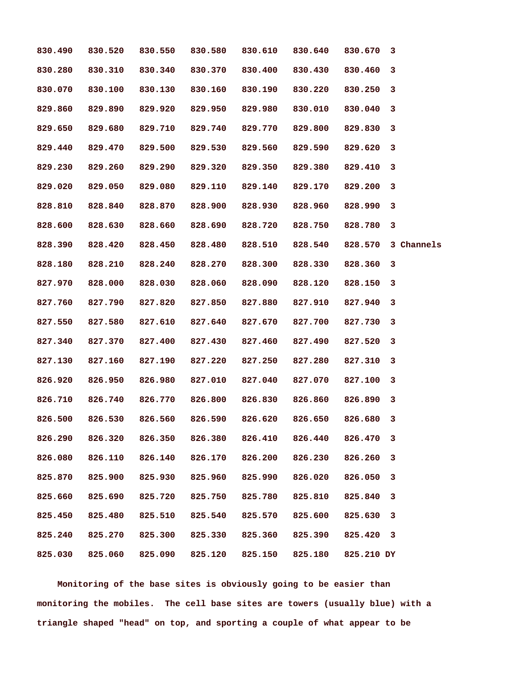| 830.490 | 830.520 | 830.550 | 830.580         | 830.610         | 830.640 | 830.670    | 3          |
|---------|---------|---------|-----------------|-----------------|---------|------------|------------|
| 830.280 | 830.310 | 830.340 | 830.370         | 830.400         | 830.430 | 830.460    | 3          |
| 830.070 | 830.100 | 830.130 | 830.160         | 830.190         | 830.220 | 830.250    | 3          |
| 829.860 | 829.890 | 829.920 | 829.950         | 829.980         | 830.010 | 830.040    | 3          |
| 829.650 | 829.680 | 829.710 | 829.740         | 829.770         | 829.800 | 829.830    | 3          |
| 829.440 | 829.470 | 829.500 | 829.530         | 829.560         | 829.590 | 829.620    | 3          |
| 829.230 | 829.260 | 829.290 | 829.320         | 829.350         | 829.380 | 829.410    | 3          |
| 829.020 | 829.050 | 829.080 | 829.110         | 829.140         | 829.170 | 829.200    | 3          |
| 828.810 | 828.840 | 828.870 | 828.900         | 828.930         | 828.960 | 828.990    | 3          |
| 828.600 | 828.630 | 828.660 | 828.690         | 828.720         | 828.750 | 828.780    | 3          |
| 828.390 | 828.420 | 828.450 | 828.480         | 828.510         | 828.540 | 828.570    | 3 Channels |
| 828.180 | 828.210 | 828.240 | 828.270         | 828.300         | 828.330 | 828.360    | 3          |
| 827.970 | 828.000 | 828.030 | 828.060         | 828.090         | 828.120 | 828.150    | 3          |
| 827.760 | 827.790 | 827.820 | 827.850         | 827.880         | 827.910 | 827.940    | 3          |
| 827.550 | 827.580 | 827.610 | 827.640         | 827.670         | 827.700 | 827.730    | 3          |
| 827.340 | 827.370 | 827.400 | 827.430         | 827.460         | 827.490 | 827.520    | 3          |
| 827.130 | 827.160 | 827.190 | 827.220         | 827.250         | 827.280 | 827.310    | 3          |
| 826.920 | 826.950 | 826.980 | 827.010         | 827.040         | 827.070 | 827.100    | 3          |
| 826.710 | 826.740 | 826.770 | 826.800         | 826.830         | 826.860 | 826.890    | 3          |
| 826.500 | 826.530 | 826.560 | 826.590         | 826.620 826.650 |         | 826.680    | 3          |
| 826.290 | 826.320 |         | 826.350 826.380 | 826.410         | 826.440 | 826.470    | 3          |
| 826.080 | 826.110 | 826.140 | 826.170         | 826.200         | 826.230 | 826.260    | 3          |
| 825.870 | 825.900 | 825.930 | 825.960         | 825.990         | 826.020 | 826.050    | 3          |
| 825.660 | 825.690 | 825.720 | 825.750         | 825.780         | 825.810 | 825.840    | 3          |
| 825.450 | 825.480 | 825.510 | 825.540         | 825.570         | 825.600 | 825.630    | 3          |
| 825.240 | 825.270 | 825.300 | 825.330         | 825.360         | 825.390 | 825.420    | 3          |
| 825.030 | 825.060 | 825.090 | 825.120         | 825.150         | 825.180 | 825.210 DY |            |

 **Monitoring of the base sites is obviously going to be easier than monitoring the mobiles. The cell base sites are towers (usually blue) with a triangle shaped "head" on top, and sporting a couple of what appear to be**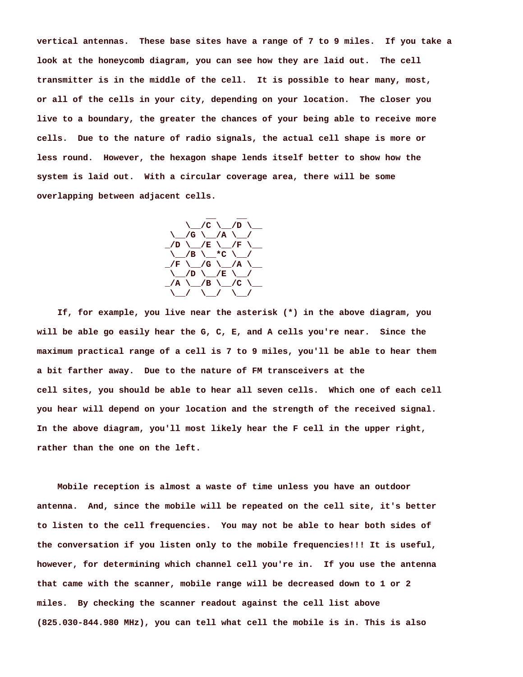**vertical antennas. These base sites have a range of 7 to 9 miles. If you take a look at the honeycomb diagram, you can see how they are laid out. The cell transmitter is in the middle of the cell. It is possible to hear many, most, or all of the cells in your city, depending on your location. The closer you live to a boundary, the greater the chances of your being able to receive more cells. Due to the nature of radio signals, the actual cell shape is more or less round. However, the hexagon shape lends itself better to show how the system is laid out. With a circular coverage area, there will be some overlapping between adjacent cells.** 



 **If, for example, you live near the asterisk (\*) in the above diagram, you will be able go easily hear the G, C, E, and A cells you're near. Since the maximum practical range of a cell is 7 to 9 miles, you'll be able to hear them a bit farther away. Due to the nature of FM transceivers at the cell sites, you should be able to hear all seven cells. Which one of each cell you hear will depend on your location and the strength of the received signal. In the above diagram, you'll most likely hear the F cell in the upper right, rather than the one on the left.** 

 **Mobile reception is almost a waste of time unless you have an outdoor antenna. And, since the mobile will be repeated on the cell site, it's better to listen to the cell frequencies. You may not be able to hear both sides of the conversation if you listen only to the mobile frequencies!!! It is useful, however, for determining which channel cell you're in. If you use the antenna that came with the scanner, mobile range will be decreased down to 1 or 2 miles. By checking the scanner readout against the cell list above (825.030-844.980 MHz), you can tell what cell the mobile is in. This is also**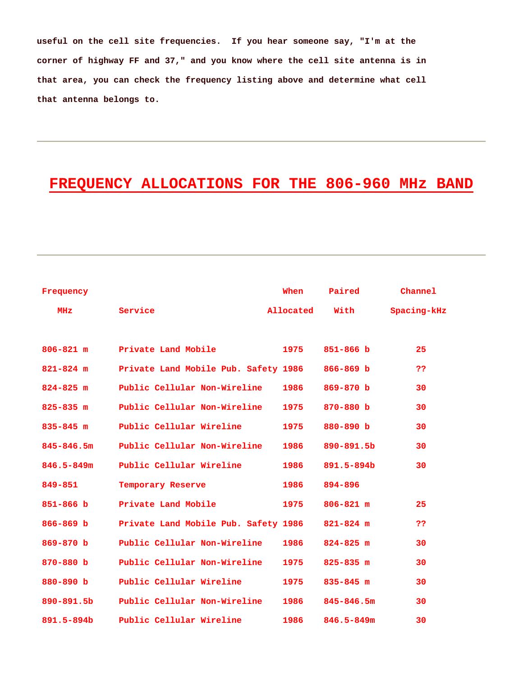**useful on the cell site frequencies. If you hear someone say, "I'm at the corner of highway FF and 37," and you know where the cell site antenna is in that area, you can check the frequency listing above and determine what cell that antenna belongs to.** 

# **FREQUENCY ALLOCATIONS FOR THE 806-960 MHz BAND**

| Frequency      |                                      | When      | Paired         | Channel     |
|----------------|--------------------------------------|-----------|----------------|-------------|
| MHZ            | Service                              | Allocated | With           | Spacing-kHz |
|                |                                      |           |                |             |
| $806 - 821$ m  | Private Land Mobile                  | 1975      | $851 - 866$ b  | 25          |
| $821 - 824$ m  | Private Land Mobile Pub. Safety 1986 |           | $866 - 869 b$  | ??          |
| $824 - 825$ m  | Public Cellular Non-Wireline         | 1986      | $869 - 870 b$  | 30          |
| $825 - 835$ m  | Public Cellular Non-Wireline         | 1975      | 870-880 b      | 30          |
| $835 - 845$ m  | Public Cellular Wireline             | 1975      | 880-890 b      | 30          |
| $845 - 846.5m$ | Public Cellular Non-Wireline         | 1986      | 890-891.5b     | 30          |
| $846.5 - 849m$ | Public Cellular Wireline             | 1986      | 891.5-894b     | 30          |
| 849-851        | Temporary Reserve                    | 1986      | 894-896        |             |
| $851 - 866$ b  | Private Land Mobile                  | 1975      | $806 - 821$ m  | 25          |
| $866 - 869$ b  | Private Land Mobile Pub. Safety 1986 |           | $821 - 824$ m  | ??          |
| 869-870 b      | Public Cellular Non-Wireline         | 1986      | $824 - 825$ m  | 30          |
| 870-880 b      | Public Cellular Non-Wireline         | 1975      | $825 - 835$ m  | 30          |
| 880-890 b      | Public Cellular Wireline             | 1975      | $835 - 845$ m  | 30          |
| 890-891.5b     | Public Cellular Non-Wireline         | 1986      | $845 - 846.5m$ | 30          |
| 891.5-894b     | Public Cellular Wireline             | 1986      | $846.5 - 849m$ | 30          |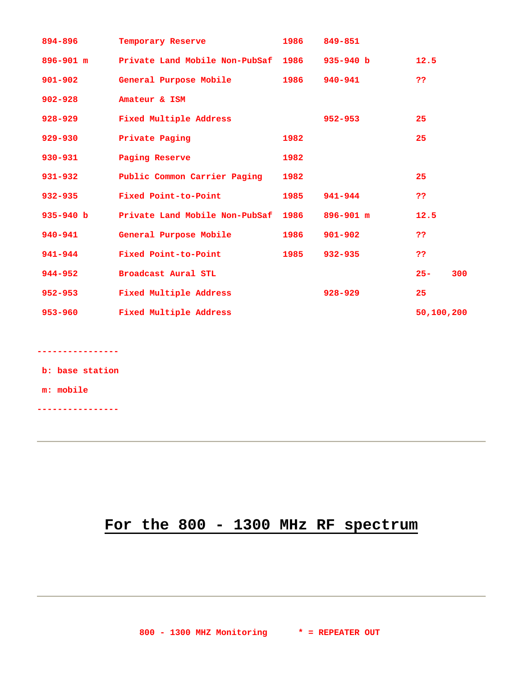| 894-896       | Temporary Reserve                   | 1986 | 849-851       |            |     |
|---------------|-------------------------------------|------|---------------|------------|-----|
| $896 - 901$ m | Private Land Mobile Non-PubSaf 1986 |      | $935 - 940 b$ | 12.5       |     |
| $901 - 902$   | General Purpose Mobile              | 1986 | $940 - 941$   | 22         |     |
| $902 - 928$   | Amateur & ISM                       |      |               |            |     |
| $928 - 929$   | Fixed Multiple Address              |      | $952 - 953$   | 25         |     |
| $929 - 930$   | Private Paging                      | 1982 |               | 25         |     |
| $930 - 931$   | Paging Reserve                      | 1982 |               |            |     |
| $931 - 932$   | Public Common Carrier Paging        | 1982 |               | 25         |     |
| $932 - 935$   | Fixed Point-to-Point                | 1985 | 941-944       | ??         |     |
| $935 - 940$ b | Private Land Mobile Non-PubSaf      | 1986 | $896 - 901$ m | 12.5       |     |
| $940 - 941$   | General Purpose Mobile              | 1986 | $901 - 902$   | ??         |     |
| 941-944       | Fixed Point-to-Point                | 1985 | $932 - 935$   | ??         |     |
| 944-952       | Broadcast Aural STL                 |      |               | $25 -$     | 300 |
| $952 - 953$   | Fixed Multiple Address              |      | $928 - 929$   | 25         |     |
| $953 - 960$   | Fixed Multiple Address              |      |               | 50,100,200 |     |

**----------------** 

 **b: base station** 

 **m: mobile** 

**----------------** 

# **For the 800 - 1300 MHz RF spectrum**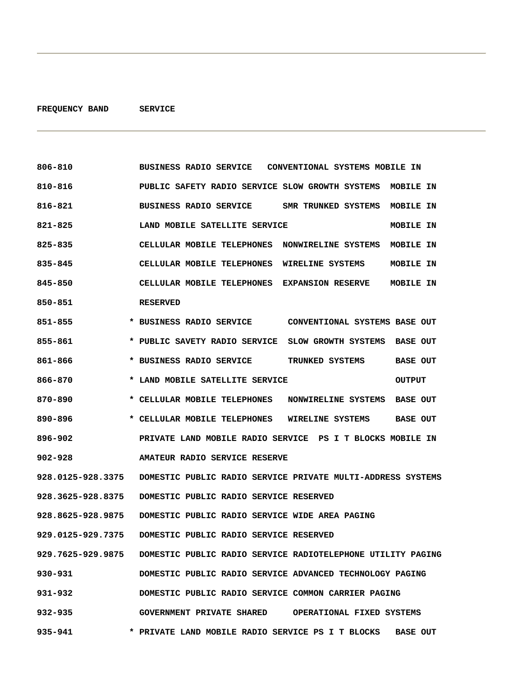| 806-810           | BUSINESS RADIO SERVICE CONVENTIONAL SYSTEMS MOBILE IN                         |
|-------------------|-------------------------------------------------------------------------------|
| 810-816           | PUBLIC SAFETY RADIO SERVICE SLOW GROWTH SYSTEMS MOBILE IN                     |
| 816-821           | BUSINESS RADIO SERVICE SMR TRUNKED SYSTEMS<br>MOBILE IN                       |
| 821-825           | LAND MOBILE SATELLITE SERVICE<br>MOBILE IN                                    |
| 825-835           | CELLULAR MOBILE TELEPHONES NONWIRELINE SYSTEMS MOBILE IN                      |
| 835-845           | CELLULAR MOBILE TELEPHONES WIRELINE SYSTEMS<br>MOBILE IN                      |
| 845-850           | <b>CELLULAR MOBILE TELEPHONES EXPANSION RESERVE</b><br>MOBILE IN              |
| 850-851           | <b>RESERVED</b>                                                               |
| 851-855           |                                                                               |
| 855-861           | * PUBLIC SAVETY RADIO SERVICE SLOW GROWTH SYSTEMS BASE OUT                    |
| 861-866           | * BUSINESS RADIO SERVICE<br>TRUNKED SYSTEMS<br><b>BASE OUT</b>                |
| 866-870           | * LAND MOBILE SATELLITE SERVICE<br><b>OUTPUT</b>                              |
| 870-890           | * CELLULAR MOBILE TELEPHONES<br>NONWIRELINE SYSTEMS<br><b>BASE OUT</b>        |
| 890-896           | * CELLULAR MOBILE TELEPHONES<br><b>BASE OUT</b><br>WIRELINE SYSTEMS           |
| 896-902           | PRIVATE LAND MOBILE RADIO SERVICE PS I T BLOCKS MOBILE IN                     |
| $902 - 928$       | AMATEUR RADIO SERVICE RESERVE                                                 |
| 928.0125-928.3375 | DOMESTIC PUBLIC RADIO SERVICE PRIVATE MULTI-ADDRESS SYSTEMS                   |
| 928.3625-928.8375 | DOMESTIC PUBLIC RADIO SERVICE RESERVED                                        |
| 928.8625-928.9875 | DOMESTIC PUBLIC RADIO SERVICE WIDE AREA PAGING                                |
| 929.0125-929.7375 | DOMESTIC PUBLIC RADIO SERVICE RESERVED                                        |
|                   | 929.7625-929.9875 DOMESTIC PUBLIC RADIO SERVICE RADIOTELEPHONE UTILITY PAGING |
| 930-931           | DOMESTIC PUBLIC RADIO SERVICE ADVANCED TECHNOLOGY PAGING                      |
| 931-932           | DOMESTIC PUBLIC RADIO SERVICE COMMON CARRIER PAGING                           |
| 932-935           | GOVERNMENT PRIVATE SHARED OPERATIONAL FIXED SYSTEMS                           |
| 935-941           | * PRIVATE LAND MOBILE RADIO SERVICE PS I T BLOCKS<br><b>BASE OUT</b>          |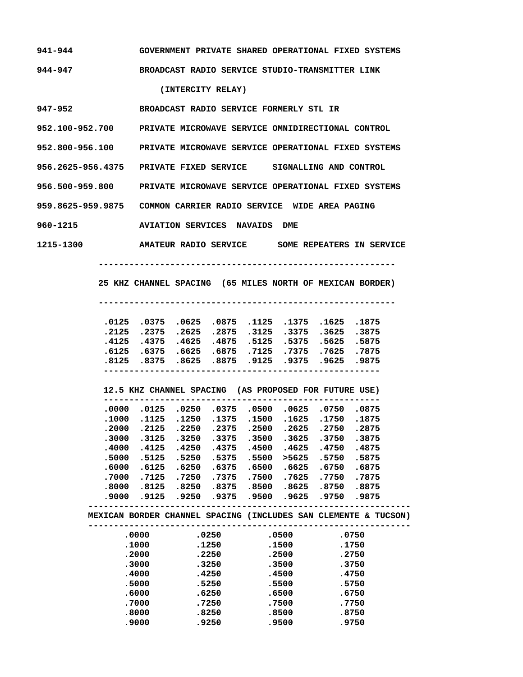| 941-944 |  | GOVERNMENT PRIVATE SHARED OPERATIONAL FIXED SYSTEMS |  |
|---------|--|-----------------------------------------------------|--|
| 944-947 |  | BROADCAST RADIO SERVICE STUDIO-TRANSMITTER LINK     |  |

 **(INTERCITY RELAY)** 

**947-952 BROADCAST RADIO SERVICE FORMERLY STL IR** 

**952.100-952.700 PRIVATE MICROWAVE SERVICE OMNIDIRECTIONAL CONTROL** 

**952.800-956.100 PRIVATE MICROWAVE SERVICE OPERATIONAL FIXED SYSTEMS** 

**956.2625-956.4375 PRIVATE FIXED SERVICE SIGNALLING AND CONTROL** 

**956.500-959.800 PRIVATE MICROWAVE SERVICE OPERATIONAL FIXED SYSTEMS** 

**959.8625-959.9875 COMMON CARRIER RADIO SERVICE WIDE AREA PAGING** 

**960-1215 AVIATION SERVICES NAVAIDS DME** 

**1215-1300 AMATEUR RADIO SERVICE SOME REPEATERS IN SERVICE** 

 **----------------------------------------------------------** 

 **25 KHZ CHANNEL SPACING (65 MILES NORTH OF MEXICAN BORDER)** 

 **----------------------------------------------------------** 

| .0125 .0375 .0625 .0875 .1125 .1375 .0125 .0125 |  |  |  |
|-------------------------------------------------|--|--|--|
| .2125 .2375 .2625 .2875 .3125 .3375 .3625 .2125 |  |  |  |
| .4125 .4375 .4625 .4875 .5125 .5375 .5625 .4375 |  |  |  |
| .7875 .7625 .7375 .6875 .6875 .6875 .6125 .6125 |  |  |  |
| .8125 .8375 .8625 .8875 .9125 .9375 .9625 .8125 |  |  |  |
|                                                 |  |  |  |

 **12.5 KHZ CHANNEL SPACING (AS PROPOSED FOR FUTURE USE) ------------------------------------------------------ .0000 .0125 .0250 .0375 .0500 .0625 .0750 .0875 .1000 .1125 .1250 .1375 .1500 .1625 .1750 .1875 .2000 .2125 .2250 .2375 .2500 .2625 .2750 .2875 .3000 .3125 .3250 .3375 .3500 .3625 .3750 .3875 .4000 .4125 .4250 .4375 .4500 .4625 .4750 .4875 .5000 .5125 .5250 .5375 .5500 >5625 .5750 .5875 .6000 .6125 .6250 .6375 .6500 .6625 .6750 .6875 .7000 .7125 .7250 .7375 .7500 .7625 .7750 .7875 .8000 .8125 .8250 .8375 .8500 .8625 .8750 .8875 .9000 .9125 .9250 .9375 .9500 .9625 .9750 .9875 --------------------------------------------------------------- MEXICAN BORDER CHANNEL SPACING (INCLUDES SAN CLEMENTE & TUCSON) --------------------------------------------------------------- .0000 .0250 .0500 .0750** 

| .0000 | .0250 | .0500 | .0750 |  |
|-------|-------|-------|-------|--|
| .1000 | .1250 | .1500 | .1750 |  |
| .2000 | .2250 | .2500 | .2750 |  |
| .3000 | .3250 | .3500 | .3750 |  |
| .4000 | .4250 | .4500 | .4750 |  |
| .5000 | .5250 | .5500 | .5750 |  |
| .6000 | .6250 | .6500 | .6750 |  |
| .7000 | .7250 | .7500 | .7750 |  |
| .8000 | .8250 | .8500 | .8750 |  |
|       |       |       |       |  |

 **.9000 .9250 .9500 .9750**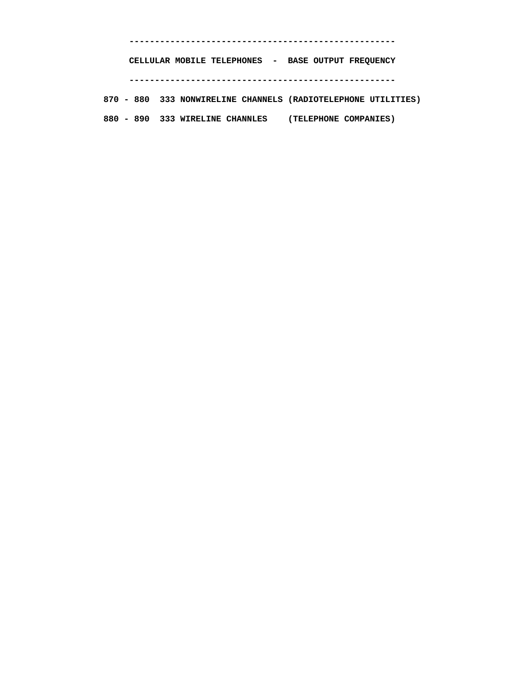**----------------------------------------------------** 

 **CELLULAR MOBILE TELEPHONES - BASE OUTPUT FREQUENCY ----------------------------------------------------** 

 **870 - 880 333 NONWIRELINE CHANNELS (RADIOTELEPHONE UTILITIES) 880 - 890 333 WIRELINE CHANNLES (TELEPHONE COMPANIES)**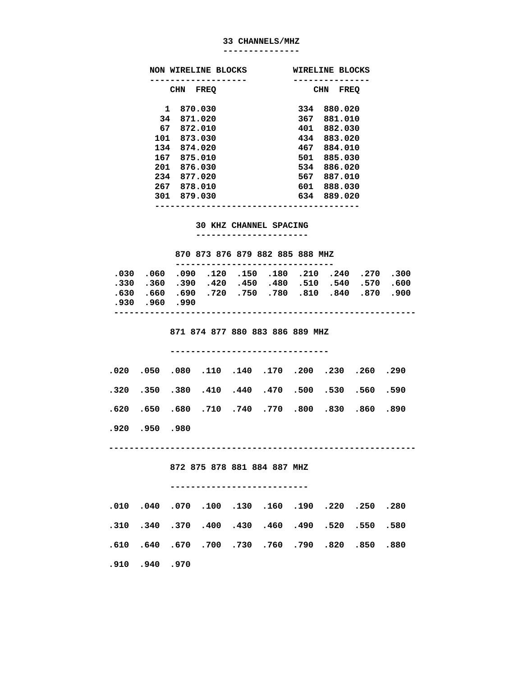#### **33 CHANNELS/MHZ**

**---------------** 

| NON WIRELINE BLOCKS | <b>WIRELINE BLOCKS</b> |  |  |  |  |
|---------------------|------------------------|--|--|--|--|
|                     |                        |  |  |  |  |
| <b>CHN</b>          | CHN                    |  |  |  |  |
| <b>FREQ</b>         | <b>FREQ</b>            |  |  |  |  |
| 870.030             | 880.020                |  |  |  |  |
| 1                   | 334                    |  |  |  |  |
| 871.020             | 367                    |  |  |  |  |
| 34                  | 881.010                |  |  |  |  |
| 67                  | 401                    |  |  |  |  |
| 872.010             | 882.030                |  |  |  |  |
| 101                 | 434                    |  |  |  |  |
| 873.030             | 883.020                |  |  |  |  |
| 134                 | 467                    |  |  |  |  |
| 874.020             | 884.010                |  |  |  |  |
| 167                 | 501                    |  |  |  |  |
| 875.010             | 885.030                |  |  |  |  |
| 876.030             | 534                    |  |  |  |  |
| 201                 | 886.020                |  |  |  |  |
| 234                 | 567                    |  |  |  |  |
| 877.020             | 887.010                |  |  |  |  |
| 267                 | 601                    |  |  |  |  |
| 878.010             | 888.030                |  |  |  |  |
| 879.030             | 889.020                |  |  |  |  |
| 301                 | 634                    |  |  |  |  |
|                     |                        |  |  |  |  |

### **30 KHZ CHANNEL SPACING**

 **----------------------** 

#### **870 873 876 879 882 885 888 MHZ**

|              |  | 300. 270. 240. 210. 180. 150. 120. 090. 050. 050. |  |  |  |  |  |  |  |
|--------------|--|---------------------------------------------------|--|--|--|--|--|--|--|
|              |  | .330 .360 .390 .420 .450 .480 .510 .540 .570 .600 |  |  |  |  |  |  |  |
|              |  | 900. 870. 840. 810. 780. 750. 720. 690. 660. 630. |  |  |  |  |  |  |  |
| .930.960.990 |  |                                                   |  |  |  |  |  |  |  |
|              |  |                                                   |  |  |  |  |  |  |  |

 **871 874 877 880 883 886 889 MHZ** 

#### **-------------------------------**

|  |  | .020 .050 .080 .110 .140 .170 .200 .230 .260 .020 |  |  |  |
|--|--|---------------------------------------------------|--|--|--|
|  |  | .320 .350 .380 .410 .440 .470 .500 .530 .560 .390 |  |  |  |
|  |  | 890. 860. 830. 800. 770. 740. 770. 650. 650. 620. |  |  |  |

 **.920 .950 .980** 

 **------------------------------------------------------------** 

 **872 875 878 881 884 887 MHZ** 

#### **---------------------------**

|  |              |  | .250 .250 .250 .130 .150 .160 .250 .250 .010 .010  |  |  |  |
|--|--------------|--|----------------------------------------------------|--|--|--|
|  |              |  | .580 .550 .550 .430 .430 .460 .490 .520 .550 .340  |  |  |  |
|  |              |  | .610. 850. 820. 790. 750. 750. 700. 640. 640. 610. |  |  |  |
|  | .910.940.970 |  |                                                    |  |  |  |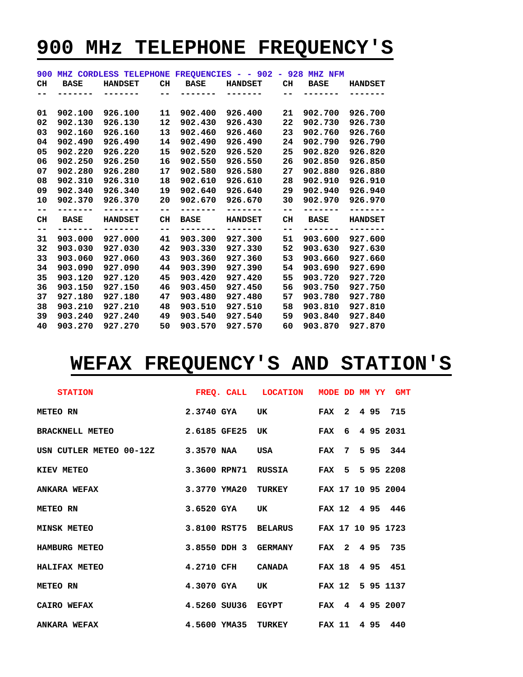# **900 MHz TELEPHONE FREQUENCY'S**

| 900 |             | MHZ CORDLESS TELEPHONE FREQUENCIES - - 902 - 928 MHZ NFM |    |             |                |    |             |                |
|-----|-------------|----------------------------------------------------------|----|-------------|----------------|----|-------------|----------------|
| CH  | <b>BASE</b> | <b>HANDSET</b>                                           | CH | <b>BASE</b> | <b>HANDSET</b> | CH | <b>BASE</b> | <b>HANDSET</b> |
|     |             |                                                          |    |             |                |    |             |                |
|     |             |                                                          |    |             |                |    |             |                |
| 01  | 902.100     | 926.100                                                  | 11 | 902,400     | 926.400        | 21 | 902.700     | 926.700        |
| 02  | 902.130     | 926.130                                                  | 12 | 902,430     | 926.430        | 22 | 902.730     | 926.730        |
| 03  | 902.160     | 926.160                                                  | 13 | 902.460     | 926.460        | 23 | 902.760     | 926.760        |
| 04  | 902.490     | 926.490                                                  | 14 | 902.490     | 926.490        | 24 | 902.790     | 926.790        |
| 05  | 902.220     | 926.220                                                  | 15 | 902.520     | 926.520        | 25 | 902.820     | 926.820        |
| 06  | 902.250     | 926.250                                                  | 16 | 902.550     | 926.550        | 26 | 902.850     | 926.850        |
| 07  | 902.280     | 926.280                                                  | 17 | 902.580     | 926.580        | 27 | 902.880     | 926.880        |
| 08  | 902.310     | 926.310                                                  | 18 | 902.610     | 926.610        | 28 | 902.910     | 926.910        |
| 09  | 902.340     | 926.340                                                  | 19 | 902.640     | 926.640        | 29 | 902.940     | 926.940        |
| 10  | 902.370     | 926.370                                                  | 20 | 902.670     | 926.670        | 30 | 902.970     | 926.970        |
| --  |             | -------                                                  | -- |             | -------        | -- |             |                |
| CH  | <b>BASE</b> | <b>HANDSET</b>                                           | CH | <b>BASE</b> | <b>HANDSET</b> | CH | <b>BASE</b> | <b>HANDSET</b> |
| --  |             |                                                          | -- |             |                | -- |             |                |
| 31  | 903.000     | 927.000                                                  | 41 | 903.300     | 927.300        | 51 | 903.600     | 927.600        |
| 32  | 903.030     | 927.030                                                  | 42 | 903.330     | 927.330        | 52 | 903.630     | 927.630        |
| 33  | 903.060     | 927.060                                                  | 43 | 903.360     | 927.360        | 53 | 903.660     | 927.660        |
| 34  | 903.090     | 927.090                                                  | 44 | 903.390     | 927.390        | 54 | 903.690     | 927.690        |
| 35  | 903.120     | 927.120                                                  | 45 | 903.420     | 927.420        | 55 | 903.720     | 927.720        |
| 36  | 903.150     | 927.150                                                  | 46 | 903.450     | 927.450        | 56 | 903.750     | 927.750        |
| 37  | 927.180     | 927.180                                                  | 47 | 903.480     | 927.480        | 57 | 903.780     | 927.780        |
| 38  | 903.210     | 927.210                                                  | 48 | 903.510     | 927.510        | 58 | 903.810     | 927.810        |
| 39  | 903.240     | 927.240                                                  | 49 | 903.540     | 927.540        | 59 | 903.840     | 927.840        |
| 40  | 903.270     | 927.270                                                  | 50 | 903.570     | 927.570        | 60 | 903.870     | 927.870        |

# **WEFAX FREQUENCY'S AND STATION'S**

| STATION STATION NODE DD MM YY GMT                                                    |  |  |  |  |
|--------------------------------------------------------------------------------------|--|--|--|--|
| 2.3740 GYA UK FAX 2 4 95 715<br>METEO RN                                             |  |  |  |  |
| BRACKNELL METEO 2.6185 GFE25 UK FAX 6 4 95 2031                                      |  |  |  |  |
| USN CUTLER METEO 00-12Z 3.3570 NAA USA FAX 7 5 95 344                                |  |  |  |  |
| 3.3600 RPN71 RUSSIA FAX 5 5 95 2208<br>KIEV METEO                                    |  |  |  |  |
| ANKARA WEFAX                             3.3770 YMA20 TURKEY       FAX 17 10 95 2004 |  |  |  |  |
| 3.6520 GYA UK FAX 12 4 95 446<br>METEO RN                                            |  |  |  |  |
| MINSK METEO 3.8100 RST75 BELARUS FAX 17 10 95 1723                                   |  |  |  |  |
| 3.8550 DDH 3 GERMANY FAX 2 4 95 735<br><b>HAMBURG METEO</b>                          |  |  |  |  |
| 4.2710 CFH CANADA FAX 18 4 95 451<br><b>HALIFAX METEO</b>                            |  |  |  |  |
| 4.3070 GYA UK FAX 12 5 95 1137<br><b>METEO RN</b>                                    |  |  |  |  |
| $4.5260$ SUU36 EGYPT FAX $4$ 4 95 2007<br><b>CAIRO WEFAX</b>                         |  |  |  |  |
| ANKARA WEFAX <b>4.5600 YMA35 TURKEY</b> FAX 11 4 95 440                              |  |  |  |  |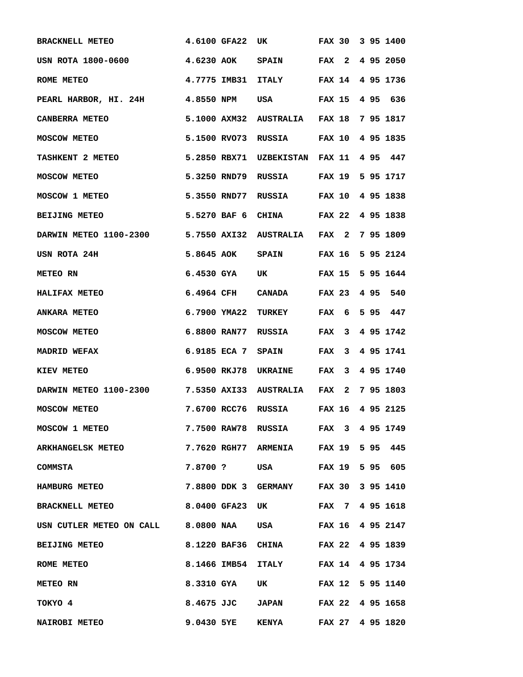| <b>BRACKNELL METEO</b>                                        | 4.6100 GFA22                            | <b>UK</b>                            | <b>FAX 30</b>     | 3 95 1400        |
|---------------------------------------------------------------|-----------------------------------------|--------------------------------------|-------------------|------------------|
| USN ROTA 1800-0600                                            | 4.6230 AOK SPAIN FAX 2                  |                                      |                   | 4 95 2050        |
| ROME METEO                                                    |                                         | 4.7775 IMB31 ITALY FAX 14            |                   | 4 95 1736        |
| PEARL HARBOR, HI. 24H 4.8550 NPM                              |                                         | USA FAX 15 4 95 636                  |                   |                  |
| <b>CANBERRA METEO</b>                                         | 5.1000 AXM32 AUSTRALIA FAX 18 7 95 1817 |                                      |                   |                  |
| <b>MOSCOW METEO</b>                                           | 5.1500 RVO73 RUSSIA FAX 10 4 95 1835    |                                      |                   |                  |
| <b>TASHKENT 2 METEO</b>                                       | 5.2850 RBX71 UZBEKISTAN FAX 11 4 95 447 |                                      |                   |                  |
| <b>MOSCOW METEO</b>                                           |                                         | 5.3250 RND79 RUSSIA FAX 19 5 95 1717 |                   |                  |
| <b>MOSCOW 1 METEO</b>                                         | 5.3550 RND77 RUSSIA FAX 10 4 95 1838    |                                      |                   |                  |
| <b>BEIJING METEO</b>                                          | 5.5270 BAF 6 CHINA FAX 22 4 95 1838     |                                      |                   |                  |
| DARWIN METEO 1100-2300 5.7550 AXI32 AUSTRALIA FAX 2 7 95 1809 |                                         |                                      |                   |                  |
| USN ROTA 24H                                                  | 5.8645 AOK SPAIN FAX 16                 |                                      |                   | 5 95 2124        |
| METEO RN                                                      | $6.4530$ GYA                            | UK                                   |                   | FAX 15 5 95 1644 |
| <b>HALIFAX METEO</b>                                          | 6.4964 CFH CANADA                       |                                      | FAX 23 4 95       | 540              |
| <b>ANKARA METEO</b>                                           | 6.7900 YMA22 TURKEY                     |                                      | <b>FAX</b><br>- 6 | 595<br>447       |
| <b>MOSCOW METEO</b>                                           | 6.8800 RAN77 RUSSIA                     |                                      | FAX 3             | 4 95 1742        |
| <b>MADRID WEFAX</b>                                           | 6.9185 ECA 7 SPAIN FAX                  |                                      | $3^{\circ}$       | 4 95 1741        |
| KIEV METEO                                                    | 6.9500 RKJ78 UKRAINE FAX 3 4 95 1740    |                                      |                   |                  |
| DARWIN METEO 1100-2300 7.5350 AXI33 AUSTRALIA FAX 2 7 95 1803 |                                         |                                      |                   |                  |
| <b>MOSCOW METEO</b>                                           | 7.6700 RCC76 RUSSIA FAX 16 4 95 2125    |                                      |                   |                  |
| MOSCOW 1 METEO                                                | 7.7500 RAW78 RUSSIA FAX 3 4 95 1749     |                                      |                   |                  |
| ARKHANGELSK METEO<br>7.7620 RGH77 ARMENIA FAX 19 5 95 445     |                                         |                                      |                   |                  |
| COMMSTA                                                       | 7.8700 ? USA FAX 19 5 95 605            |                                      |                   |                  |
| <b>HAMBURG METEO</b>                                          | 7.8800 DDK 3 GERMANY FAX 30 3 95 1410   |                                      |                   |                  |
| BRACKNELL METEO 6.0400 GFA23 UK FAX 7 4 95 1618               |                                         |                                      |                   |                  |
| USN CUTLER METEO ON CALL 8.0800 NAA USA FAX 16 4 95 2147      |                                         |                                      |                   |                  |
| BEIJING METEO                                                 | 8.1220 BAF36 CHINA FAX 22 4 95 1839     |                                      |                   |                  |
| <b>ROME METEO</b>                                             | 8.1466 IMB54 ITALY FAX 14 4 95 1734     |                                      |                   |                  |
| <b>METEO RN</b>                                               | 8.3310 GYA UK FAX 12 5 95 1140          |                                      |                   |                  |
| TOKYO 4                                                       | 8.4675 JJC JAPAN FAX 22 4 95 1658       |                                      |                   |                  |
| <b>NAIROBI METEO</b>                                          | 9.0430 5YE KENYA FAX 27 4 95 1820       |                                      |                   |                  |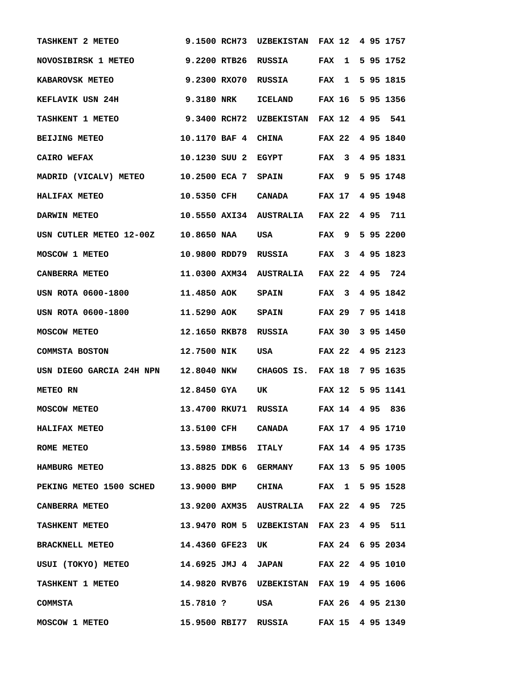| TASHKENT 2 METEO                                                 | 9.1500 RCH73        | <b>UZBEKISTAN</b>                       | <b>FAX 12</b>              | 4 95 1757        |
|------------------------------------------------------------------|---------------------|-----------------------------------------|----------------------------|------------------|
| <b>NOVOSIBIRSK 1 METEO</b>                                       |                     | 9.2200 RTB26 RUSSIA FAX                 | $\mathbf{1}$               | 5 95 1752        |
| <b>KABAROVSK METEO</b>                                           | 9.2300 RXO70        | RUSSIA                                  | <b>FAX</b><br>$\mathbf{1}$ | 5 95 1815        |
| KEFLAVIK USN 24H                                                 | 9.3180 NRK          | ICELAND FAX 16 5 95 1356                |                            |                  |
| <b>TASHKENT 1 METEO</b>                                          | 9.3400 RCH72        | UZBEKISTAN FAX 12 4 95 541              |                            |                  |
| <b>BEIJING METEO</b>                                             | 10.1170 BAF 4       | <b>CHINA</b>                            |                            | FAX 22 4 95 1840 |
| CAIRO WEFAX                                                      | 10.1230 SUU 2 EGYPT |                                         | FAX 3                      | 4 95 1831        |
| MADRID (VICALV) METEO 10.2500 ECA 7 SPAIN FAX 9 5 95 1748        |                     |                                         |                            |                  |
| HALIFAX METEO                                                    |                     | 10.5350 CFH CANADA FAX 17 4 95 1948     |                            |                  |
| DARWIN METEO                                                     |                     | 10.5550 AXI34 AUSTRALIA FAX 22 4 95 711 |                            |                  |
| USN CUTLER METEO 12-00Z 10.8650 NAA USA                          |                     |                                         | FAX 9                      | 5 95 2200        |
| <b>MOSCOW 1 METEO</b>                                            | 10.9800 RDD79       | RUSSIA                                  | FAX 3                      | 4 95 1823        |
| CANBERRA METEO                                                   |                     | 11.0300 AXM34 AUSTRALIA FAX 22          |                            | 495<br>724       |
| USN ROTA 0600-1800                                               | <b>11.4850 AOK</b>  | <b>SPAIN</b>                            | FAX 3                      | 4 95 1842        |
| USN ROTA 0600-1800                                               | 11.5290 AOK         | <b>SPAIN</b>                            | FAX 29                     | 7 95 1418        |
| <b>MOSCOW METEO</b>                                              |                     | 12.1650 RKB78 RUSSIA FAX 30 3 95 1450   |                            |                  |
| COMMSTA BOSTON                                                   | 12.7500 NIK         | USA FAX 22 4 95 2123                    |                            |                  |
| USN DIEGO GARCIA 24H NPN 12.8040 NKW CHAGOS IS. FAX 18 7 95 1635 |                     |                                         |                            |                  |
| <b>METEO RN</b>                                                  | 12.8450 GYA         | UK                                      |                            | FAX 12 5 95 1141 |
| <b>MOSCOW METEO</b>                                              |                     | 13.4700 RKU71 RUSSIA FAX 14 4 95 836    |                            |                  |
| HALIFAX METEO                                                    |                     | 13.5100 CFH CANADA FAX 17 4 95 1710     |                            |                  |
| <b>ROME METEO</b>                                                |                     | 13.5980 IMB56 ITALY FAX 14 4 95 1735    |                            |                  |
| <b>HAMBURG METEO</b>                                             |                     | 13.8825 DDK 6 GERMANY FAX 13 5 95 1005  |                            |                  |
| PEKING METEO 1500 SCHED 13.9000 BMP CHINA FAX 1 5 95 1528        |                     |                                         |                            |                  |
| CANBERRA METEO 13.9200 AXM35 AUSTRALIA FAX 22 4 95 725           |                     |                                         |                            |                  |
| TASHKENT METEO 13.9470 ROM 5 UZBEKISTAN FAX 23 4 95 511          |                     |                                         |                            |                  |
| BRACKNELL METEO 14.4360 GFE23 UK FAX 24 6 95 2034                |                     |                                         |                            |                  |
| USUI (TOKYO) METEO 14.6925 JMJ 4 JAPAN FAX 22 4 95 1010          |                     |                                         |                            |                  |
| TASHKENT 1 METEO 14.9820 RVB76 UZBEKISTAN FAX 19 4 95 1606       |                     |                                         |                            |                  |
| COMMSTA                                                          |                     | 15.7810 ? USA FAX 26 4 95 2130          |                            |                  |
| MOSCOW 1 METEO 15.9500 RBI77 RUSSIA FAX 15 4 95 1349             |                     |                                         |                            |                  |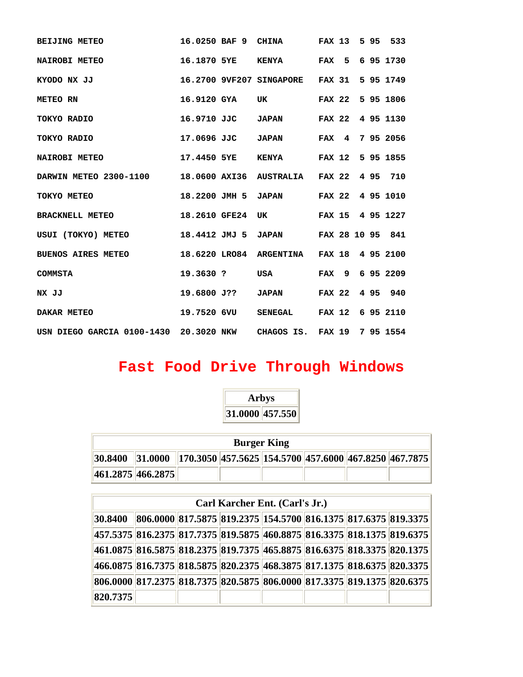| <b>BEIJING METEO</b>                                                 |           | 16.0250 BAF 9 CHINA FAX 13 5 95 533       |  |  |                 |
|----------------------------------------------------------------------|-----------|-------------------------------------------|--|--|-----------------|
| <b>NAIROBI METEO</b>                                                 |           | 16.1870 5YE KENYA FAX 5 6 95 1730         |  |  |                 |
| KYODO NX JJ                                                          |           | 16.2700 9VF207 SINGAPORE FAX 31 5 95 1749 |  |  |                 |
| METEO RN                                                             |           | 16.9120 GYA UK FAX 22 5 95 1806           |  |  |                 |
| 16.9710 JJC<br>TOKYO RADIO                                           |           | JAPAN FAX 22 4 95 1130                    |  |  |                 |
| 17.0696 JJC JAPAN FAX 4 7 95 2056<br>TOKYO RADIO                     |           |                                           |  |  |                 |
| NAIROBI METEO 17.4450 5YE                                            |           | KENYA FAX 12 5 95 1855                    |  |  |                 |
| DARWIN METEO 2300-1100 18.0600 AXI36 AUSTRALIA FAX 22 4 95 710       |           |                                           |  |  |                 |
| 18.2200 JMH 5 JAPAN FAX 22 4 95 1010<br>TOKYO METEO                  |           |                                           |  |  |                 |
| BRACKNELL METEO 18.2610 GFE24                                        |           | UK FAX 15 4 95 1227                       |  |  |                 |
| USUI (TOKYO) METEO 18.4412 JMJ 5 JAPAN FAX 28 10 95 841              |           |                                           |  |  |                 |
| BUENOS AIRES METEO 18.6220 LRO84 ARGENTINA FAX 18 4 95 2100          |           |                                           |  |  |                 |
| COMMSTA                                                              | 19.3630 ? | <b>USA</b>                                |  |  | FAX 9 6 95 2209 |
| NX JJ                                                                |           | 19.6800 J?? JAPAN FAX 22 4 95 940         |  |  |                 |
| DAKAR METEO 19.7520 6VU                                              |           | SENEGAL FAX 12 6 95 2110                  |  |  |                 |
| USN DIEGO GARCIA 0100-1430  20.3020 NKW  CHAGOS IS. FAX 19 7 95 1554 |           |                                           |  |  |                 |

# **Fast Food Drive Through Windows**

ż,

|                                                                                   | <b>Arbys</b> |                    |  |  |
|-----------------------------------------------------------------------------------|--------------|--------------------|--|--|
|                                                                                   |              | 31.0000 457.550    |  |  |
|                                                                                   |              |                    |  |  |
|                                                                                   |              | <b>Burger King</b> |  |  |
| $ 30.8400 $ $ 31.0000 $ $ 170.3050 $ 457.5625 154.5700 457.6000 467.8250 467.7875 |              |                    |  |  |
| 461.2875 466.2875                                                                 |              |                    |  |  |

|          | Carl Karcher Ent. (Carl's Jr.)                                                        |  |  |  |  |  |  |  |  |
|----------|---------------------------------------------------------------------------------------|--|--|--|--|--|--|--|--|
| 30.8400  | $  806.0000  817.5875  819.2375  154.5700  816.1375  817.6375  819.3375  $            |  |  |  |  |  |  |  |  |
|          | 457.5375   816.2375   817.7375   819.5875   460.8875   816.3375   818.1375   819.6375 |  |  |  |  |  |  |  |  |
|          | 461.0875  816.5875  818.2375  819.7375  465.8875  816.6375  818.3375  820.1375        |  |  |  |  |  |  |  |  |
|          | 466.0875 816.7375 818.5875 820.2375 468.3875 817.1375 818.6375 820.3375               |  |  |  |  |  |  |  |  |
|          | 806.0000   817.2375   818.7375   820.5875   806.0000   817.3375   819.1375   820.6375 |  |  |  |  |  |  |  |  |
| 820.7375 |                                                                                       |  |  |  |  |  |  |  |  |